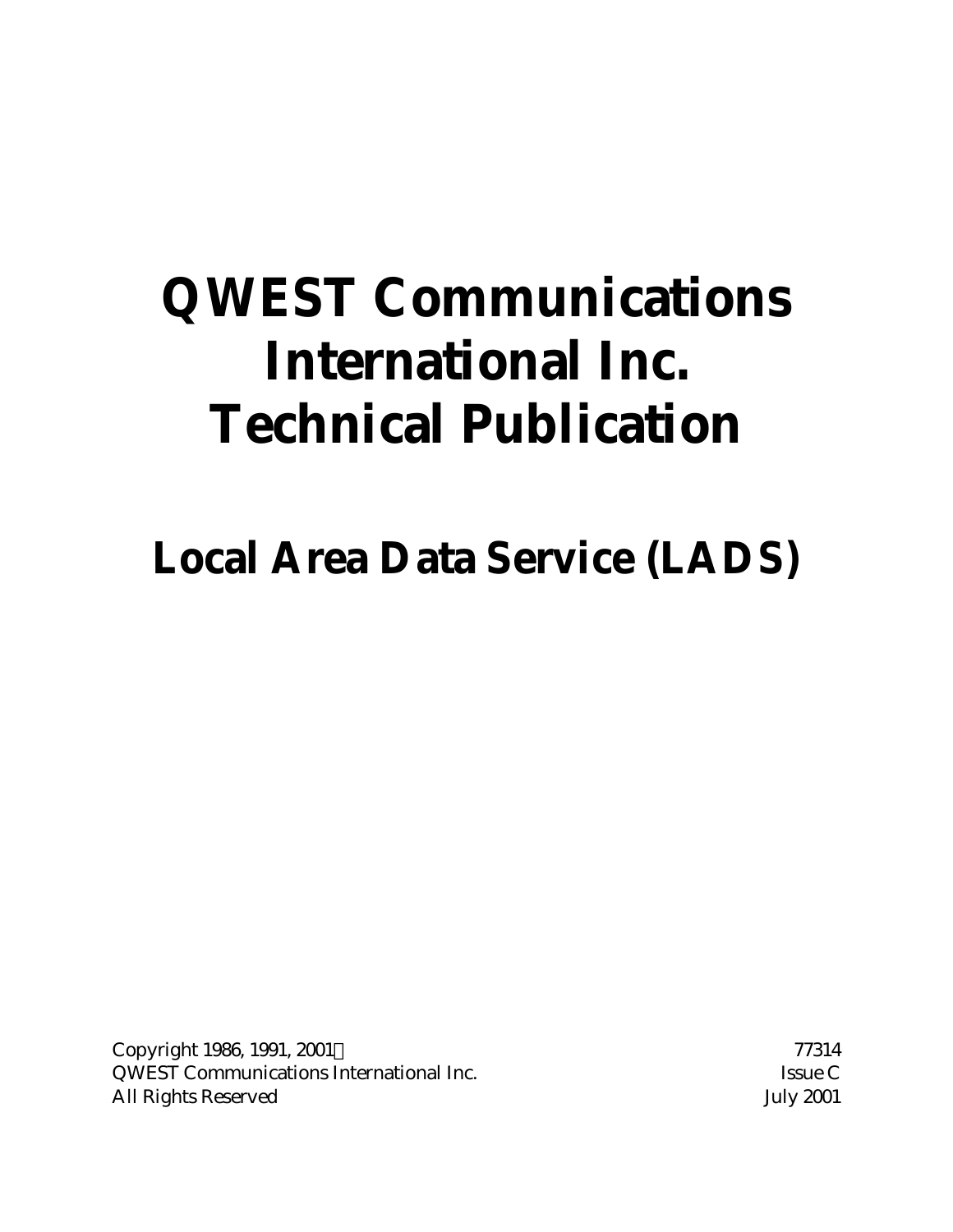# **QWEST Communications International Inc. Technical Publication**

**Local Area Data Service (LADS)**

Copyright 1986, 1991, 2001© 77314 QWEST Communications International Inc. Issue C All Rights Reserved July 2001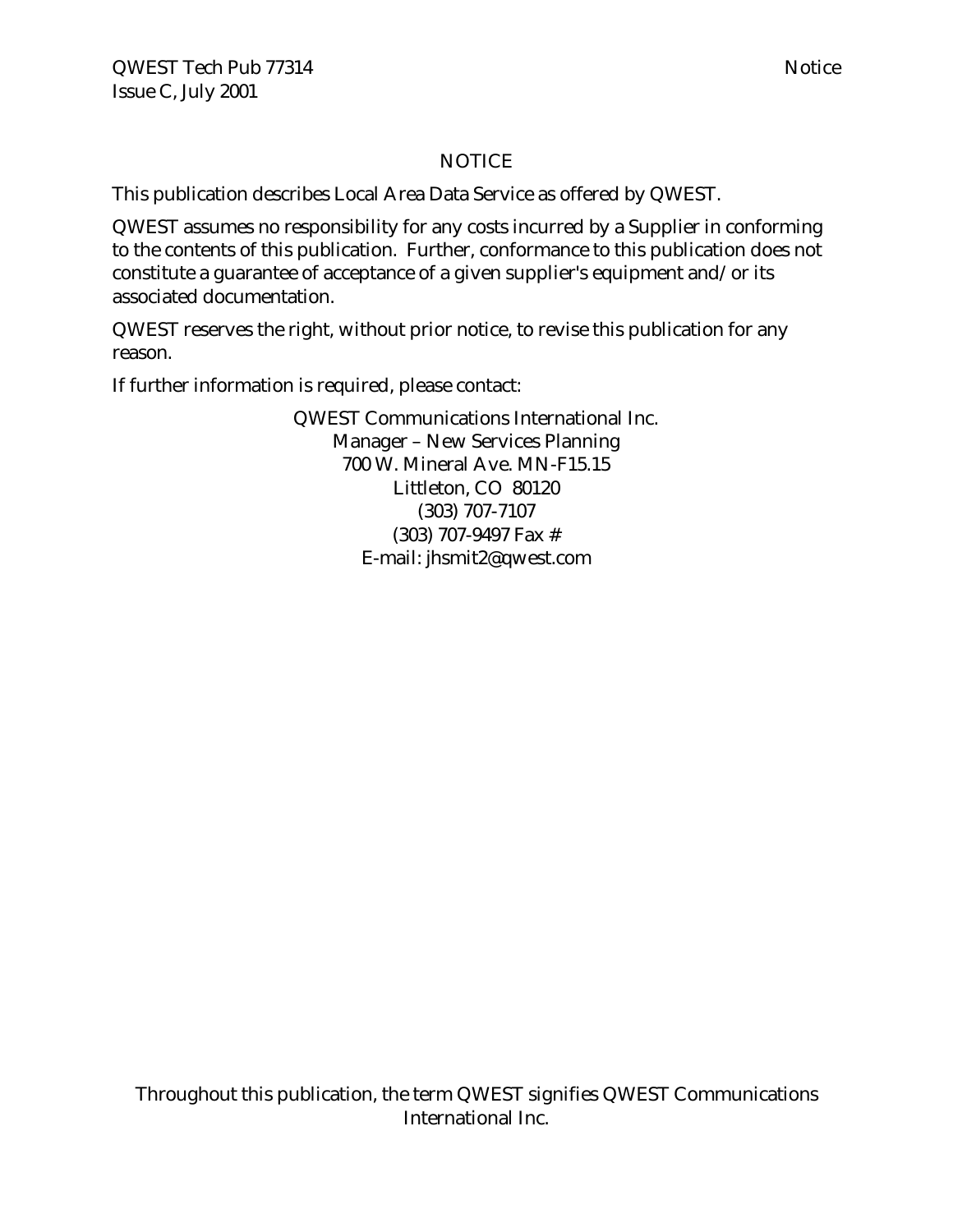# NOTICE

This publication describes Local Area Data Service as offered by QWEST.

QWEST assumes no responsibility for any costs incurred by a Supplier in conforming to the contents of this publication. Further, conformance to this publication does not constitute a guarantee of acceptance of a given supplier's equipment and/or its associated documentation.

QWEST reserves the right, without prior notice, to revise this publication for any reason.

If further information is required, please contact:

QWEST Communications International Inc. Manager – New Services Planning 700 W. Mineral Ave. MN-F15.15 Littleton, CO 80120 (303) 707-7107 (303) 707-9497 Fax # E-mail: jhsmit2@qwest.com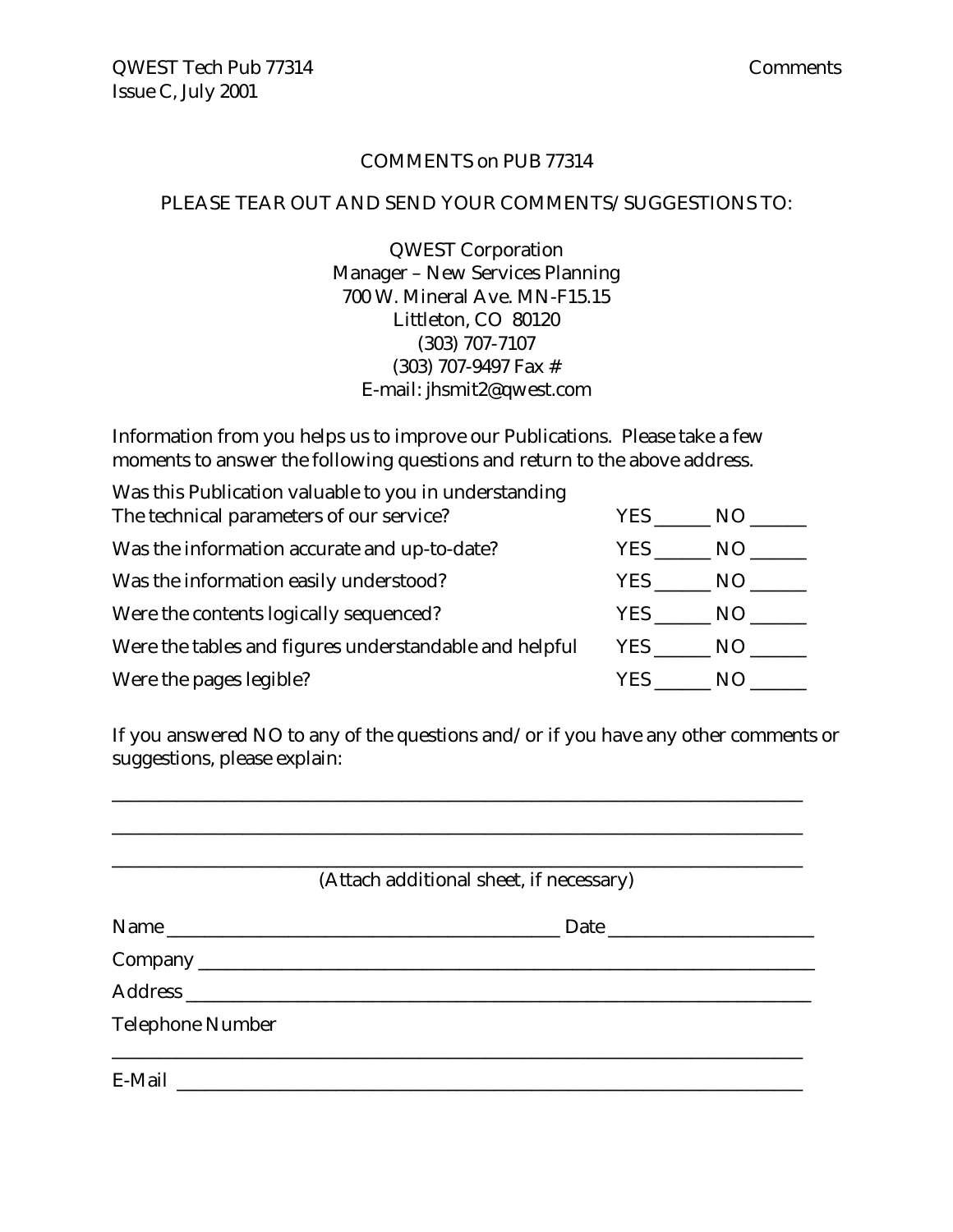#### COMMENTS on PUB 77314

#### PLEASE TEAR OUT AND SEND YOUR COMMENTS/SUGGESTIONS TO:

QWEST Corporation Manager – New Services Planning 700 W. Mineral Ave. MN-F15.15 Littleton, CO 80120 (303) 707-7107 (303) 707-9497 Fax # E-mail: jhsmit2@qwest.com

Information from you helps us to improve our Publications. Please take a few moments to answer the following questions and return to the above address.

| Was this Publication valuable to you in understanding  |       |     |
|--------------------------------------------------------|-------|-----|
| The technical parameters of our service?               | YES.  | NO. |
| Was the information accurate and up-to-date?           | YES.  | NO. |
| Was the information easily understood?                 | YES . | NO. |
| Were the contents logically sequenced?                 | YES   | NO. |
| Were the tables and figures understandable and helpful | YES   | NO. |
| Were the pages legible?                                | YES.  | N() |

If you answered NO to any of the questions and/or if you have any other comments or suggestions, please explain:

\_\_\_\_\_\_\_\_\_\_\_\_\_\_\_\_\_\_\_\_\_\_\_\_\_\_\_\_\_\_\_\_\_\_\_\_\_\_\_\_\_\_\_\_\_\_\_\_\_\_\_\_\_\_\_\_\_\_\_\_\_\_\_\_\_\_\_\_\_\_\_\_\_\_

|                         | (Attach additional sheet, if necessary) |  |
|-------------------------|-----------------------------------------|--|
|                         | Name                                    |  |
|                         |                                         |  |
|                         |                                         |  |
| <b>Telephone Number</b> |                                         |  |
|                         |                                         |  |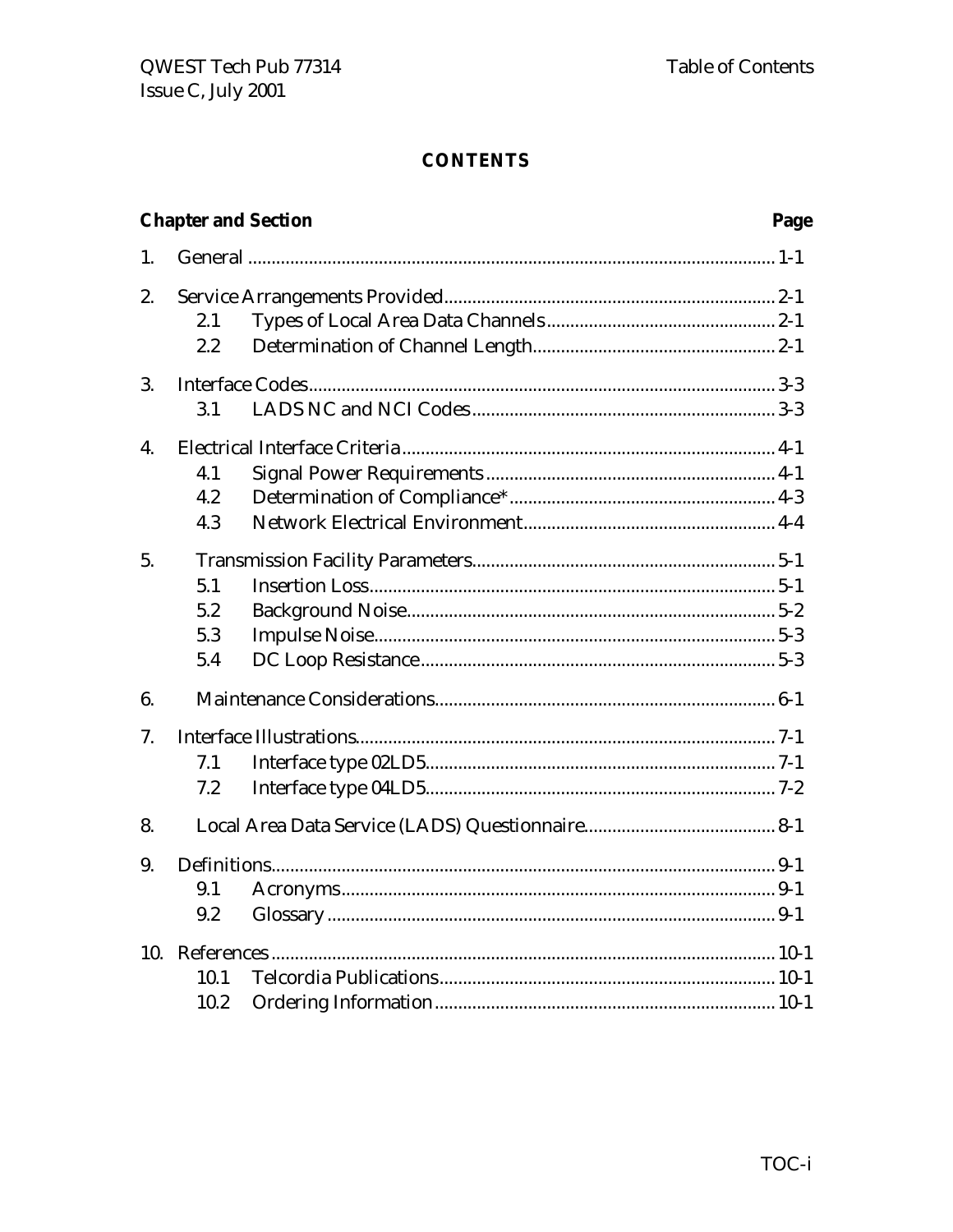|    | <b>Chapter and Section</b><br>Page |  |  |  |  |
|----|------------------------------------|--|--|--|--|
| 1. |                                    |  |  |  |  |
| 2. | 2.1<br>2.2                         |  |  |  |  |
| 3. | 3.1                                |  |  |  |  |
| 4. | 4.1<br>4.2<br>4.3                  |  |  |  |  |
| 5. | 5.1<br>5.2<br>5.3<br>5.4           |  |  |  |  |
| 6. |                                    |  |  |  |  |
| 7. | 7.1<br>7.2                         |  |  |  |  |
| 8. |                                    |  |  |  |  |
| 9. | 9.1<br>9.2                         |  |  |  |  |
|    | 10.1<br>10.2                       |  |  |  |  |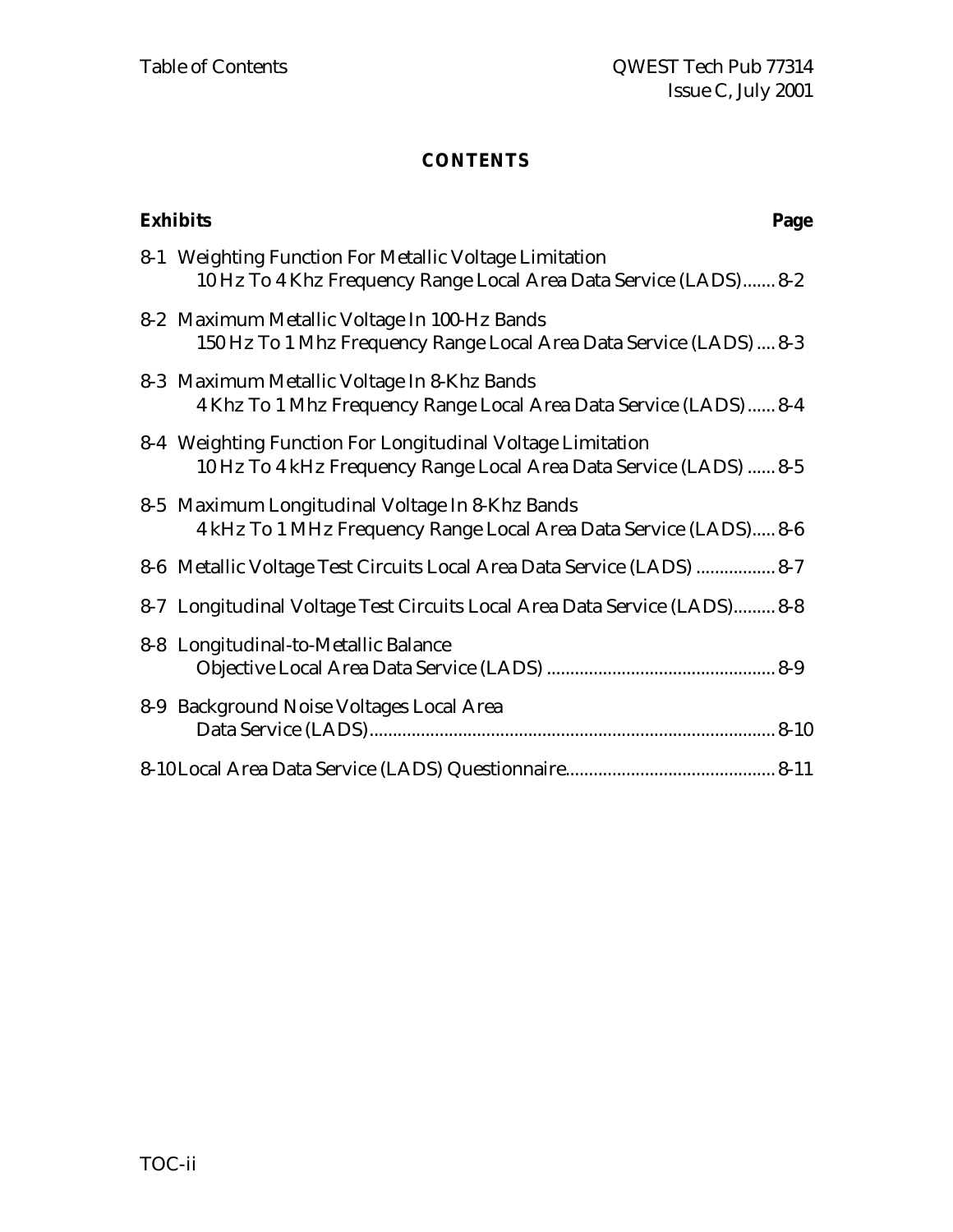| <b>Exhibits</b>                                                                                                                  | Page |
|----------------------------------------------------------------------------------------------------------------------------------|------|
| 8-1 Weighting Function For Metallic Voltage Limitation<br>10 Hz To 4 Khz Frequency Range Local Area Data Service (LADS) 8-2      |      |
| 8-2 Maximum Metallic Voltage In 100-Hz Bands<br>150 Hz To 1 Mhz Frequency Range Local Area Data Service (LADS)  8-3              |      |
| 8-3 Maximum Metallic Voltage In 8-Khz Bands<br>4 Khz To 1 Mhz Frequency Range Local Area Data Service (LADS)  8-4                |      |
| 8-4 Weighting Function For Longitudinal Voltage Limitation<br>10 Hz To 4 kHz Frequency Range Local Area Data Service (LADS)  8-5 |      |
| 8-5 Maximum Longitudinal Voltage In 8-Khz Bands<br>4 kHz To 1 MHz Frequency Range Local Area Data Service (LADS) 8-6             |      |
| 8-6 Metallic Voltage Test Circuits Local Area Data Service (LADS)  8-7                                                           |      |
| 8-7 Longitudinal Voltage Test Circuits Local Area Data Service (LADS) 8-8                                                        |      |
| 8-8 Longitudinal-to-Metallic Balance                                                                                             |      |
| 8-9 Background Noise Voltages Local Area                                                                                         |      |
|                                                                                                                                  |      |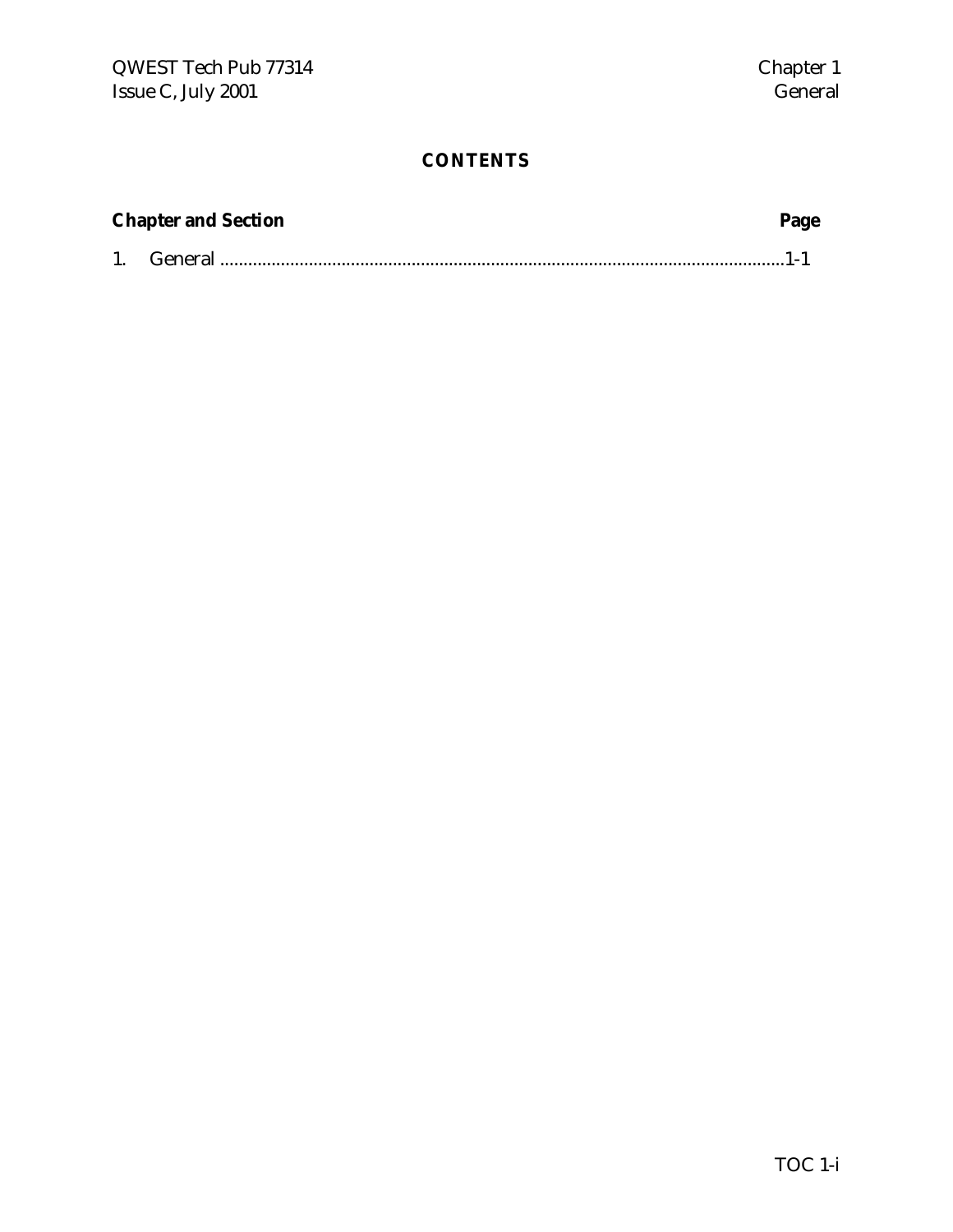| <b>Chapter and Section</b> | Page |
|----------------------------|------|
|                            |      |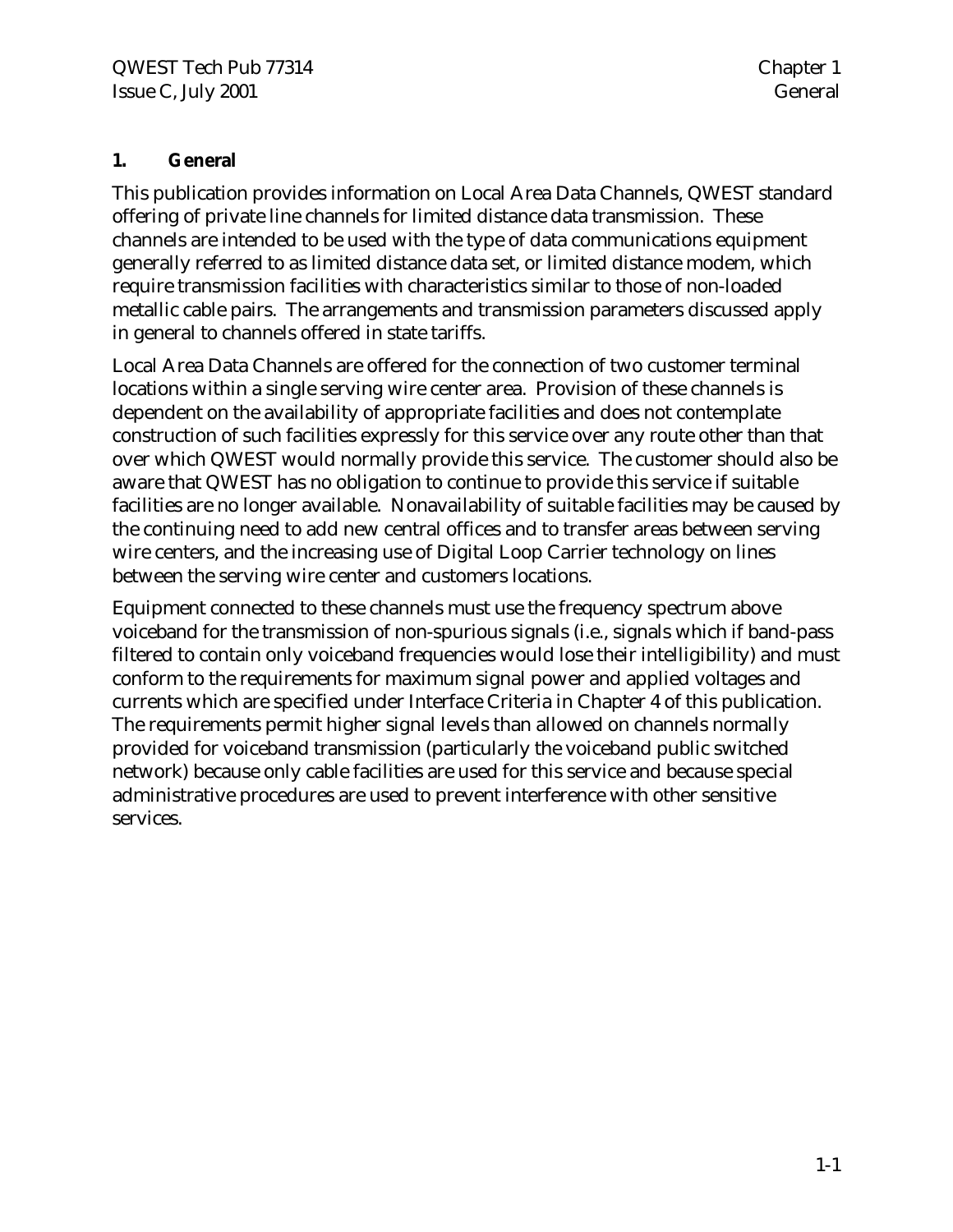# **1. General**

This publication provides information on Local Area Data Channels, QWEST standard offering of private line channels for limited distance data transmission. These channels are intended to be used with the type of data communications equipment generally referred to as limited distance data set, or limited distance modem, which require transmission facilities with characteristics similar to those of non-loaded metallic cable pairs. The arrangements and transmission parameters discussed apply in general to channels offered in state tariffs.

Local Area Data Channels are offered for the connection of two customer terminal locations within a single serving wire center area. Provision of these channels is dependent on the availability of appropriate facilities and does not contemplate construction of such facilities expressly for this service over any route other than that over which QWEST would normally provide this service. The customer should also be aware that QWEST has no obligation to continue to provide this service if suitable facilities are no longer available. Nonavailability of suitable facilities may be caused by the continuing need to add new central offices and to transfer areas between serving wire centers, and the increasing use of Digital Loop Carrier technology on lines between the serving wire center and customers locations.

Equipment connected to these channels must use the frequency spectrum above voiceband for the transmission of non-spurious signals (i.e., signals which if band-pass filtered to contain only voiceband frequencies would lose their intelligibility) and must conform to the requirements for maximum signal power and applied voltages and currents which are specified under Interface Criteria in Chapter 4 of this publication. The requirements permit higher signal levels than allowed on channels normally provided for voiceband transmission (particularly the voiceband public switched network) because only cable facilities are used for this service and because special administrative procedures are used to prevent interference with other sensitive services.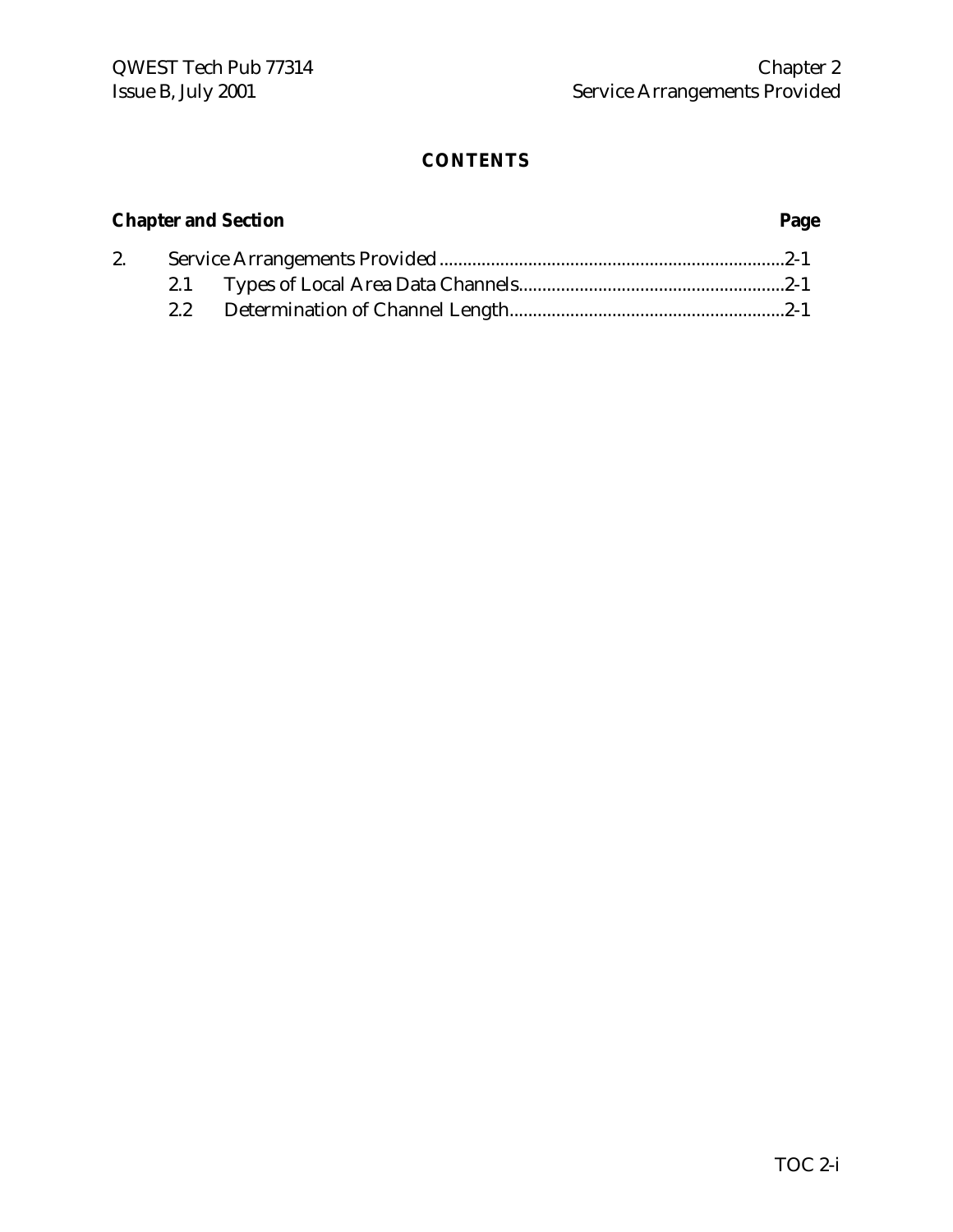# **Chapter and Section Page**

| 2. |  |  |
|----|--|--|
|    |  |  |
|    |  |  |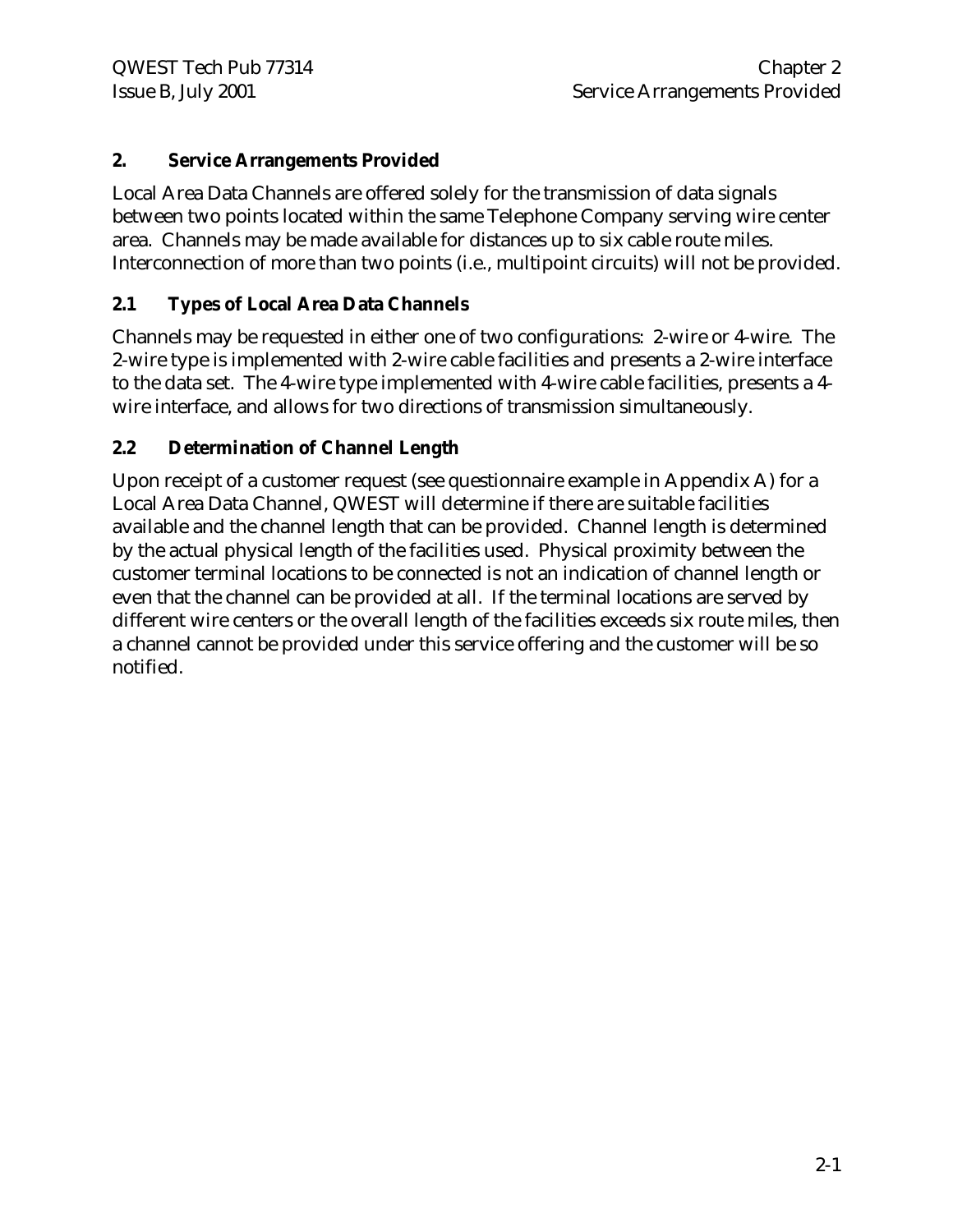# **2. Service Arrangements Provided**

Local Area Data Channels are offered solely for the transmission of data signals between two points located within the same Telephone Company serving wire center area. Channels may be made available for distances up to six cable route miles. Interconnection of more than two points (i.e., multipoint circuits) will not be provided.

# **2.1 Types of Local Area Data Channels**

Channels may be requested in either one of two configurations: 2-wire or 4-wire. The 2-wire type is implemented with 2-wire cable facilities and presents a 2-wire interface to the data set. The 4-wire type implemented with 4-wire cable facilities, presents a 4 wire interface, and allows for two directions of transmission simultaneously.

### **2.2 Determination of Channel Length**

Upon receipt of a customer request (see questionnaire example in Appendix A) for a Local Area Data Channel, QWEST will determine if there are suitable facilities available and the channel length that can be provided. Channel length is determined by the actual physical length of the facilities used. Physical proximity between the customer terminal locations to be connected is not an indication of channel length or even that the channel can be provided at all. If the terminal locations are served by different wire centers or the overall length of the facilities exceeds six route miles, then a channel cannot be provided under this service offering and the customer will be so notified.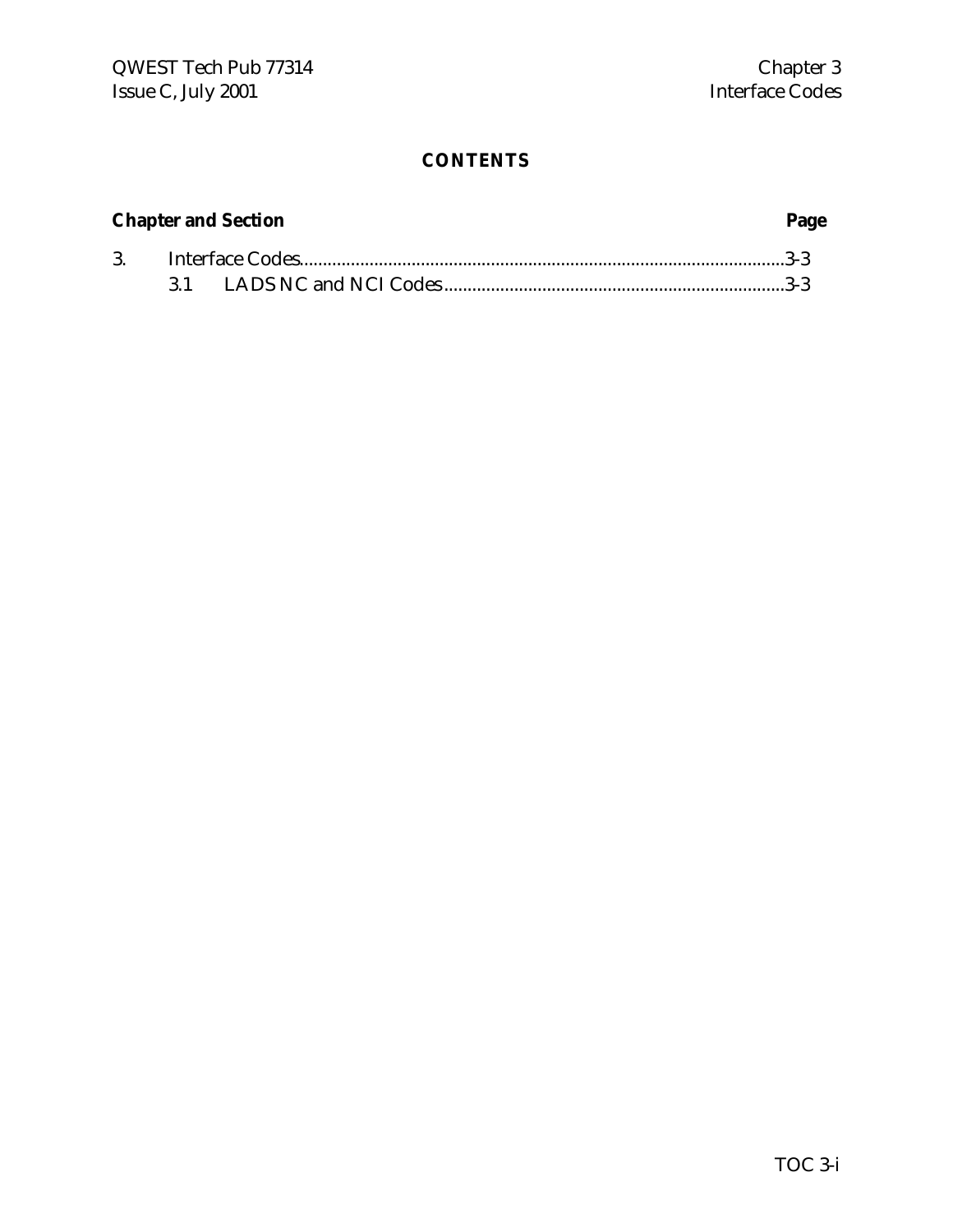# **Chapter and Section Page**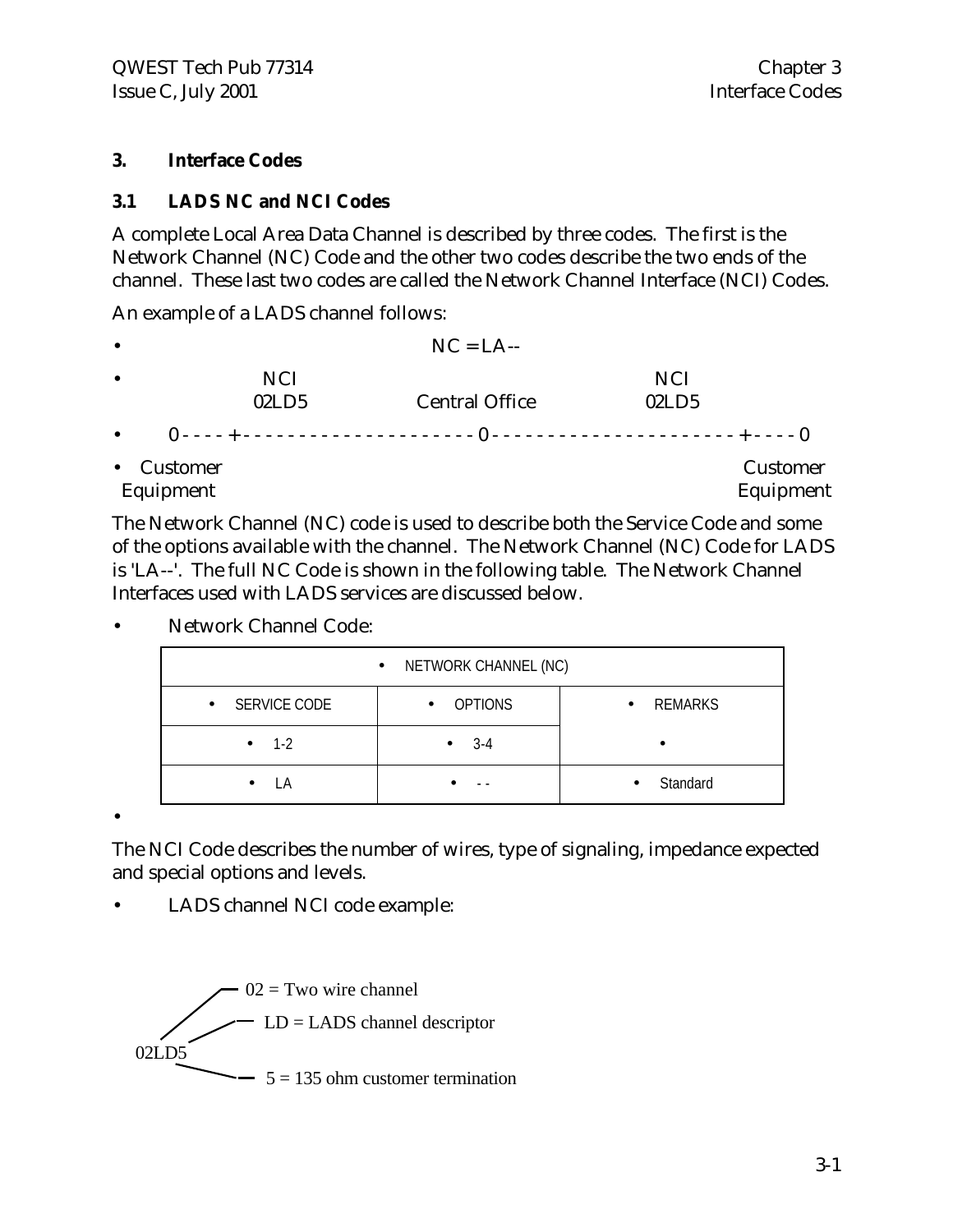#### **3. Interface Codes**

#### **3.1 LADS NC and NCI Codes**

A complete Local Area Data Channel is described by three codes. The first is the Network Channel (NC) Code and the other two codes describe the two ends of the channel. These last two codes are called the Network Channel Interface (NCI) Codes.

An example of a LADS channel follows:

|                     | $NC = LA$ --          |            |             |
|---------------------|-----------------------|------------|-------------|
| <b>NCI</b>          |                       | <b>NCI</b> |             |
| 02LD5               | <b>Central Office</b> | 02LD5      |             |
|                     |                       |            |             |
| $\epsilon$ Customor |                       |            | $C$ ustomor |

• Customer Customer Equipment Equipment

The Network Channel (NC) code is used to describe both the Service Code and some of the options available with the channel. The Network Channel (NC) Code for LADS is 'LA--'. The full NC Code is shown in the following table. The Network Channel Interfaces used with LADS services are discussed below.

• Network Channel Code:

|                           | • NETWORK CHANNEL (NC)      |                       |
|---------------------------|-----------------------------|-----------------------|
| SERVICE CODE<br>$\bullet$ | <b>OPTIONS</b><br>$\bullet$ | REMARKS               |
| $1 - 2$<br>$\bullet$      | $3-4$<br>$\bullet$          |                       |
| LA                        |                             | Standard<br>$\bullet$ |

•

The NCI Code describes the number of wires, type of signaling, impedance expected and special options and levels.

• LADS channel NCI code example:

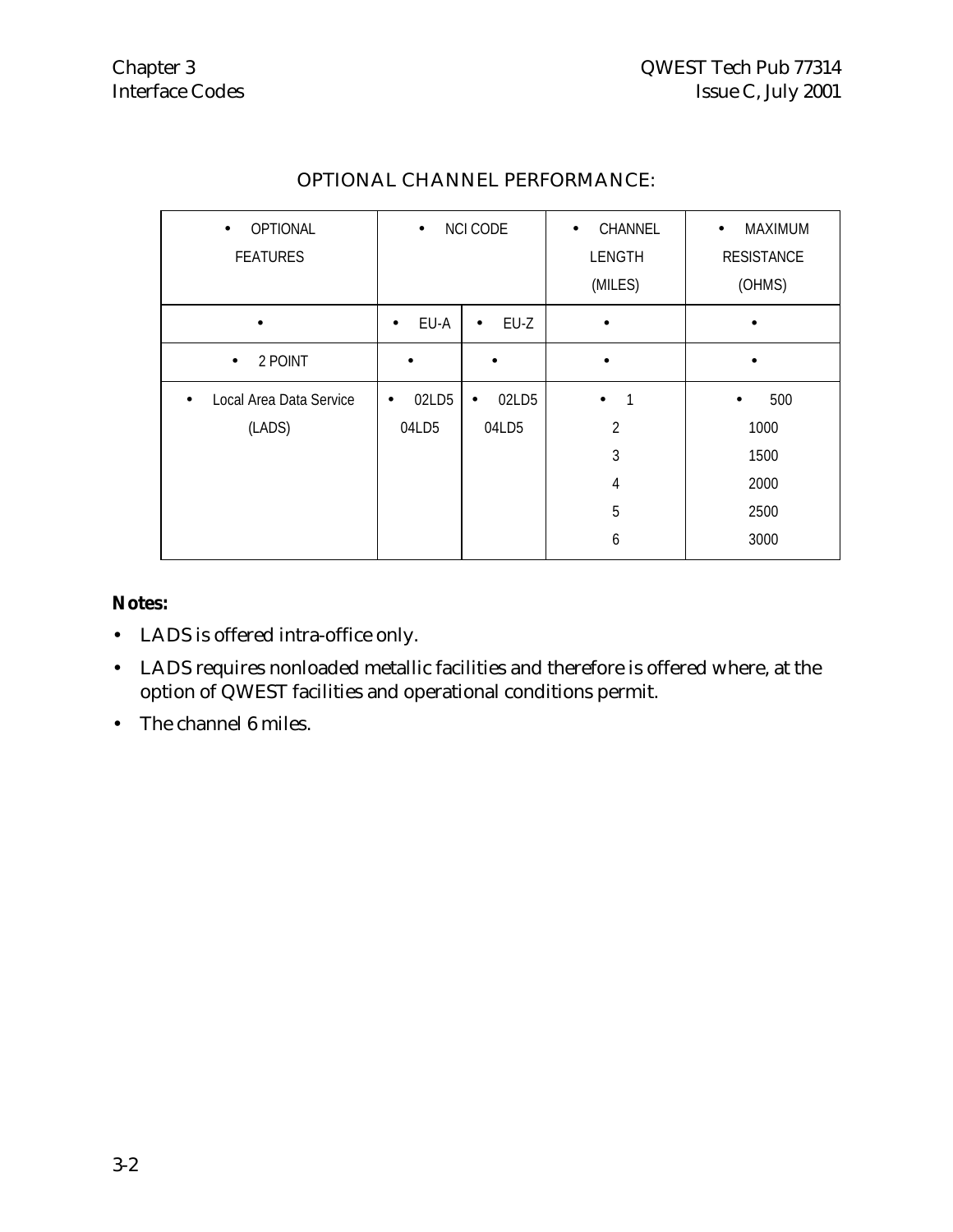| OPTIONAL<br>$\bullet$<br><b>FEATURES</b> | <b>NCI CODE</b><br>$\bullet$ |                    | CHANNEL<br>$\bullet$<br>LENGTH | MAXIMUM<br>$\bullet$<br><b>RESISTANCE</b> |
|------------------------------------------|------------------------------|--------------------|--------------------------------|-------------------------------------------|
|                                          |                              |                    | (MILES)                        | (OHMS)                                    |
| $\bullet$                                | EU-A<br>$\bullet$            | EU-Z<br>$\bullet$  | $\bullet$                      |                                           |
| 2 POINT<br>$\bullet$                     |                              | $\bullet$          |                                |                                           |
| Local Area Data Service<br>$\bullet$     | 02LD5<br>٠                   | 02LD5<br>$\bullet$ | 1<br>$\bullet$                 | 500<br>$\bullet$                          |
| (LADS)                                   | 04LD5                        | 04LD5              | $\overline{2}$                 | 1000                                      |
|                                          |                              |                    | 3                              | 1500                                      |
|                                          |                              |                    | $\overline{4}$                 | 2000                                      |
|                                          |                              |                    | 5                              | 2500                                      |
|                                          |                              |                    | 6                              | 3000                                      |

# OPTIONAL CHANNEL PERFORMANCE:

# **Notes:**

- LADS is offered intra-office only.
- LADS requires nonloaded metallic facilities and therefore is offered where, at the option of QWEST facilities and operational conditions permit.
- The channel 6 miles.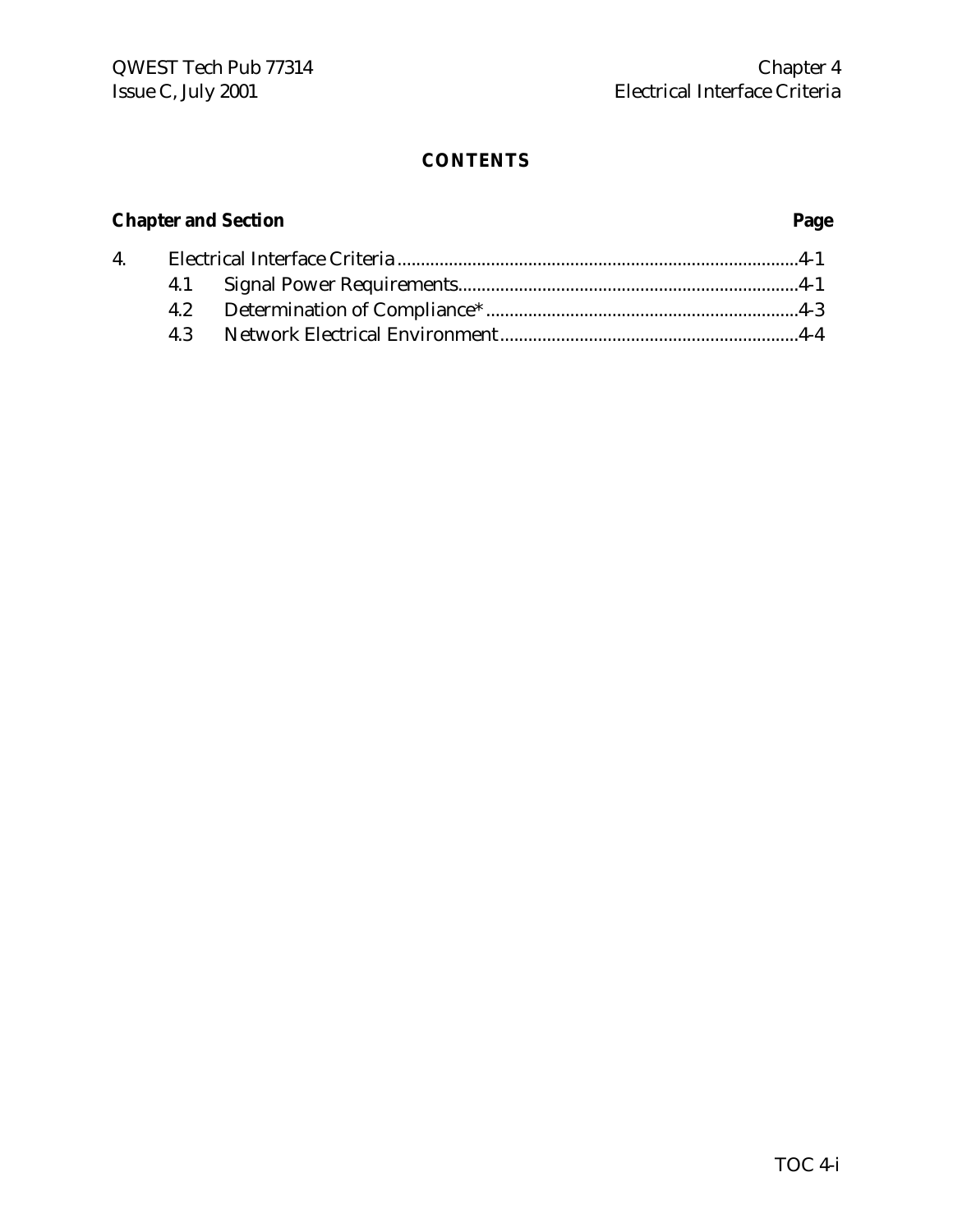# **Chapter and Section Page**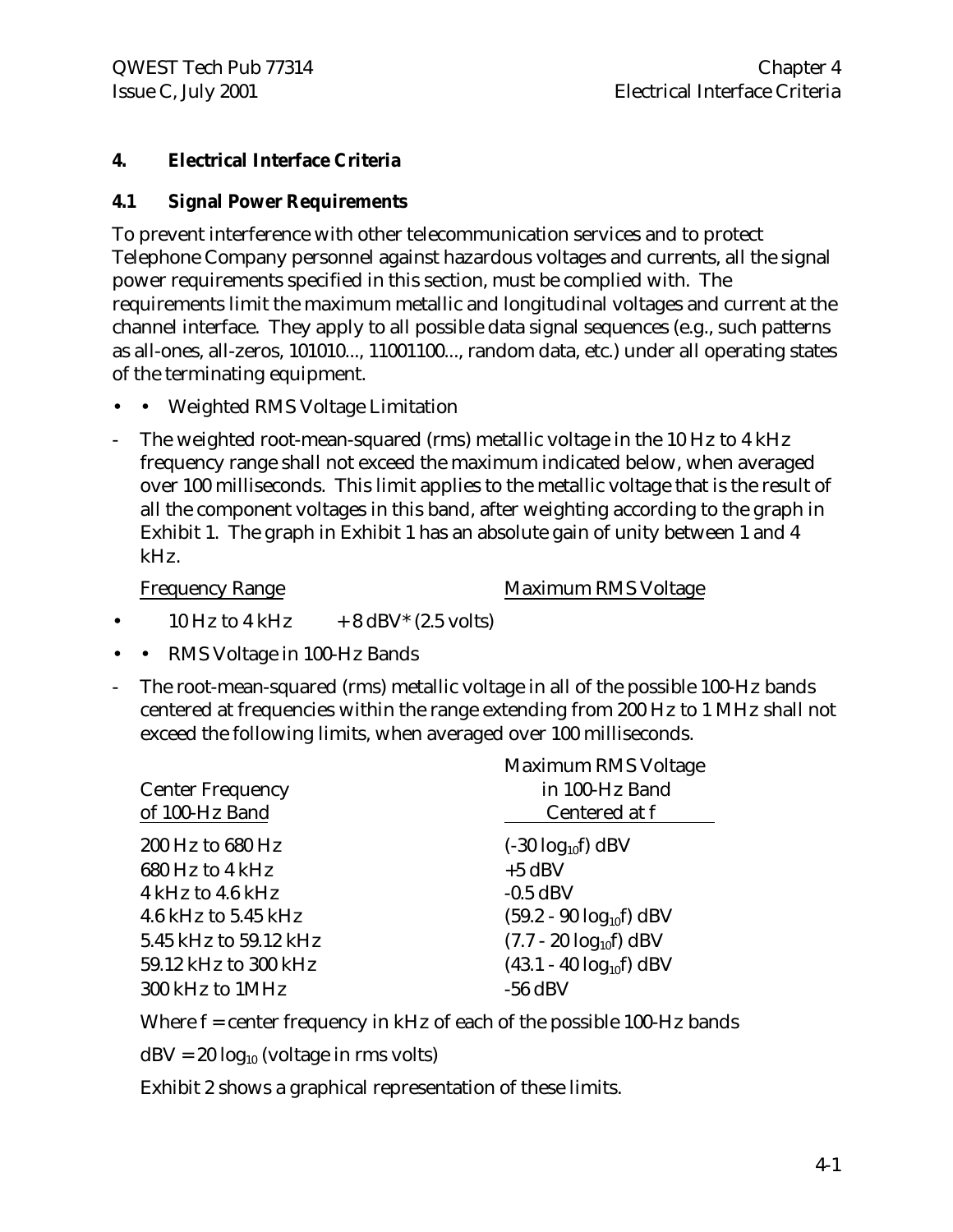# **4. Electrical Interface Criteria**

#### **4.1 Signal Power Requirements**

To prevent interference with other telecommunication services and to protect Telephone Company personnel against hazardous voltages and currents, all the signal power requirements specified in this section, must be complied with. The requirements limit the maximum metallic and longitudinal voltages and current at the channel interface. They apply to all possible data signal sequences (e.g., such patterns as all-ones, all-zeros, 101010..., 11001100..., random data, etc.) under all operating states of the terminating equipment.

- Weighted RMS Voltage Limitation
- The weighted root-mean-squared (rms) metallic voltage in the 10 Hz to 4 kHz frequency range shall not exceed the maximum indicated below, when averaged over 100 milliseconds. This limit applies to the metallic voltage that is the result of all the component voltages in this band, after weighting according to the graph in Exhibit 1. The graph in Exhibit 1 has an absolute gain of unity between 1 and 4 kHz.

Frequency Range Maximum RMS Voltage

- 10 Hz to 4 kHz  $+ 8$  dBV\* (2.5 volts)
- • RMS Voltage in 100-Hz Bands
- The root-mean-squared (rms) metallic voltage in all of the possible 100-Hz bands centered at frequencies within the range extending from 200 Hz to 1 MHz shall not exceed the following limits, when averaged over 100 milliseconds.

| Maximum RMS Voltage<br>in 100-Hz Band<br>Centered at f |
|--------------------------------------------------------|
| $(-30 \log_{10}f)$ dBV                                 |
| $+5$ dBV                                               |
| $-0.5$ dBV                                             |
| $(59.2 - 90 \log_{10} f)$ dBV                          |
| $(7.7 - 20 \log_{10} f)$ dBV                           |
| $(43.1 - 40 \log_{10} f)$ dBV                          |
| $-56$ dBV                                              |
|                                                        |

Where f = center frequency in kHz of each of the possible 100-Hz bands

 $dBV = 20 log_{10} (voltage in rms volts)$ 

Exhibit 2 shows a graphical representation of these limits.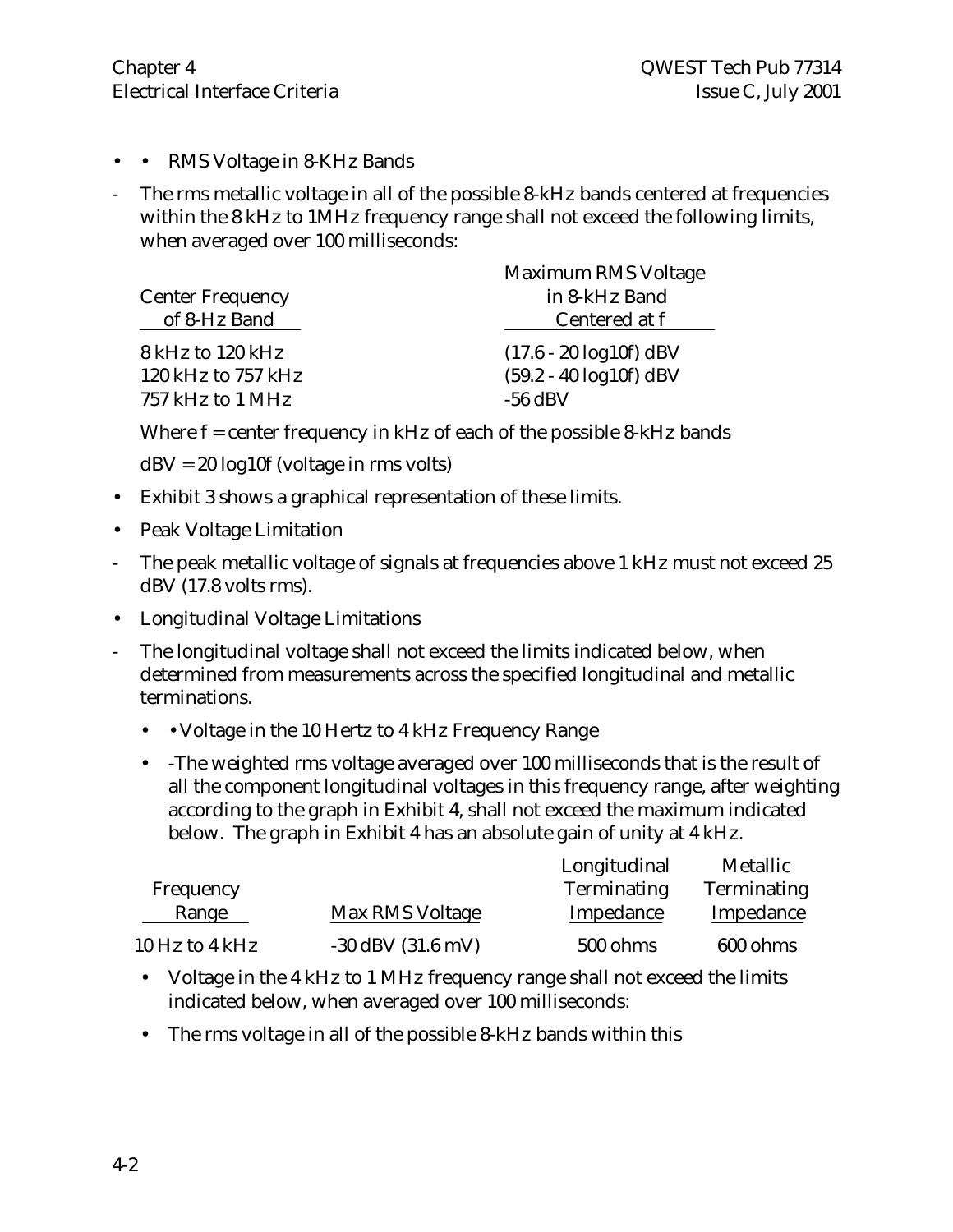- • RMS Voltage in 8-KHz Bands
- The rms metallic voltage in all of the possible 8-kHz bands centered at frequencies within the 8 kHz to 1MHz frequency range shall not exceed the following limits, when averaged over 100 milliseconds:

|                         | Maximum RMS Voltage        |
|-------------------------|----------------------------|
| <b>Center Frequency</b> | in 8-kHz Band              |
| of 8-Hz Band            | Centered at f              |
| 8 kHz to 120 kHz        | $(17.6 - 20 \log 10f)$ dBV |
| 120 kHz to $757$ kHz    | $(59.2 - 40 \log 10f)$ dBV |
| 757 kHz to 1 MHz        | $-56$ dBV                  |

Where  $f =$  center frequency in kHz of each of the possible 8-kHz bands

 $dBV = 20 log 10f$  (voltage in rms volts)

- Exhibit 3 shows a graphical representation of these limits.
- Peak Voltage Limitation
- The peak metallic voltage of signals at frequencies above 1 kHz must not exceed 25 dBV (17.8 volts rms).
- Longitudinal Voltage Limitations
- The longitudinal voltage shall not exceed the limits indicated below, when determined from measurements across the specified longitudinal and metallic terminations.
	- • Voltage in the 10 Hertz to 4 kHz Frequency Range
	- -The weighted rms voltage averaged over 100 milliseconds that is the result of all the component longitudinal voltages in this frequency range, after weighting according to the graph in Exhibit 4, shall not exceed the maximum indicated below. The graph in Exhibit 4 has an absolute gain of unity at 4 kHz.

|                |                       | Longitudinal | Metallic           |
|----------------|-----------------------|--------------|--------------------|
| Frequency      |                       | Terminating  | <b>Terminating</b> |
| Range          | Max RMS Voltage       | Impedance    | Impedance          |
| 10 Hz to 4 kHz | $-30$ dBV $(31.6$ mV) | 500 ohms     | 600 ohms           |

- Voltage in the 4 kHz to 1 MHz frequency range shall not exceed the limits indicated below, when averaged over 100 milliseconds:
- The rms voltage in all of the possible 8-kHz bands within this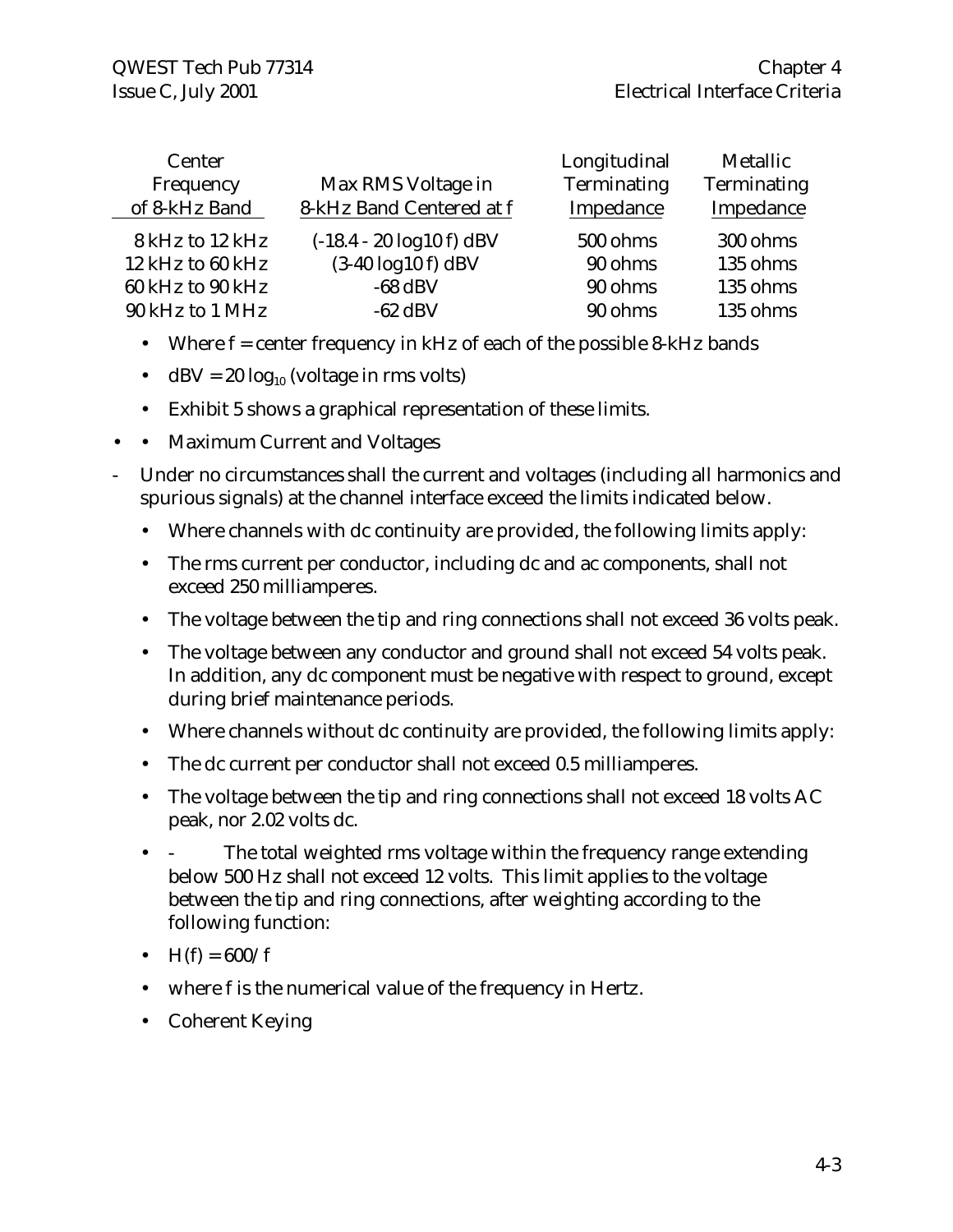| Center           |                                              | Longitudinal | Metallic    |
|------------------|----------------------------------------------|--------------|-------------|
| Frequency        | Max RMS Voltage in                           | Terminating  | Terminating |
| of 8-kHz Band    | 8-kHz Band Centered at f                     | Impedance    | Impedance   |
| 8 kHz to 12 kHz  | $(-18.4 - 20 \log 10 \text{ f}) \text{ dBV}$ | 500 ohms     | 300 ohms    |
| 12 kHz to 60 kHz | $(3-40 \log 10 f)$ dBV                       | 90 ohms      | 135 ohms    |
| 60 kHz to 90 kHz | $-68$ dBV                                    | 90 ohms      | 135 ohms    |
| 90 kHz to 1 MHz  | $-62$ dBV                                    | 90 ohms      | 135 ohms    |

- Where  $f =$  center frequency in kHz of each of the possible 8-kHz bands
- dBV =  $20 \log_{10}$  (voltage in rms volts)
- Exhibit 5 shows a graphical representation of these limits.
- • Maximum Current and Voltages
- Under no circumstances shall the current and voltages (including all harmonics and spurious signals) at the channel interface exceed the limits indicated below.
	- Where channels with dc continuity are provided, the following limits apply:
	- The rms current per conductor, including dc and ac components, shall not exceed 250 milliamperes.
	- The voltage between the tip and ring connections shall not exceed 36 volts peak.
	- The voltage between any conductor and ground shall not exceed 54 volts peak. In addition, any dc component must be negative with respect to ground, except during brief maintenance periods.
	- Where channels without dc continuity are provided, the following limits apply:
	- The dc current per conductor shall not exceed 0.5 milliamperes.
	- The voltage between the tip and ring connections shall not exceed 18 volts AC peak, nor 2.02 volts dc.
	- The total weighted rms voltage within the frequency range extending below 500 Hz shall not exceed 12 volts. This limit applies to the voltage between the tip and ring connections, after weighting according to the following function:
	- $H(f) = 600/f$
	- where f is the numerical value of the frequency in Hertz.
	- Coherent Keying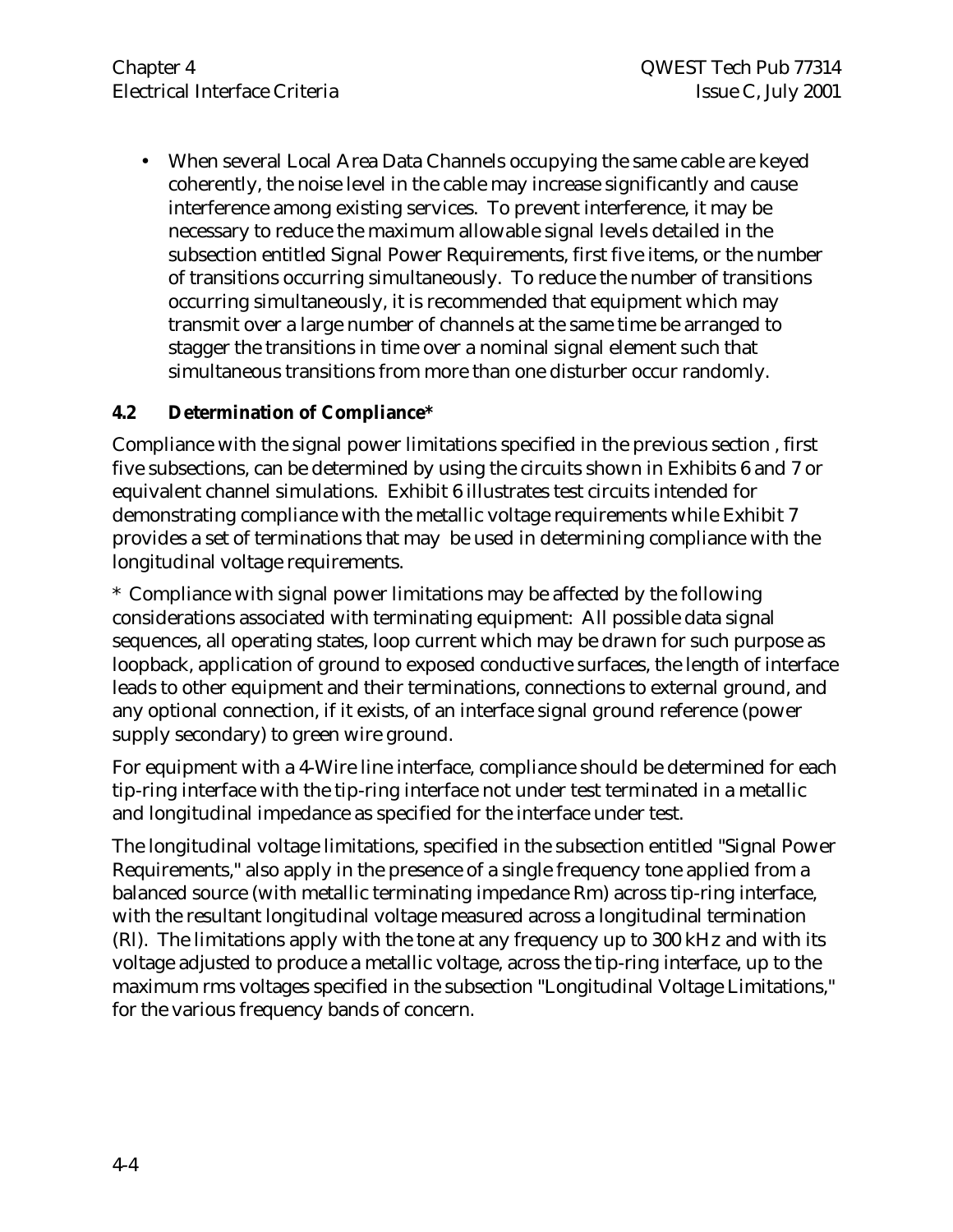• When several Local Area Data Channels occupying the same cable are keyed coherently, the noise level in the cable may increase significantly and cause interference among existing services. To prevent interference, it may be necessary to reduce the maximum allowable signal levels detailed in the subsection entitled Signal Power Requirements, first five items, or the number of transitions occurring simultaneously. To reduce the number of transitions occurring simultaneously, it is recommended that equipment which may transmit over a large number of channels at the same time be arranged to stagger the transitions in time over a nominal signal element such that simultaneous transitions from more than one disturber occur randomly.

### **4.2 Determination of Compliance\***

Compliance with the signal power limitations specified in the previous section , first five subsections, can be determined by using the circuits shown in Exhibits 6 and 7 or equivalent channel simulations. Exhibit 6 illustrates test circuits intended for demonstrating compliance with the metallic voltage requirements while Exhibit 7 provides a set of terminations that may be used in determining compliance with the longitudinal voltage requirements.

\* Compliance with signal power limitations may be affected by the following considerations associated with terminating equipment: All possible data signal sequences, all operating states, loop current which may be drawn for such purpose as loopback, application of ground to exposed conductive surfaces, the length of interface leads to other equipment and their terminations, connections to external ground, and any optional connection, if it exists, of an interface signal ground reference (power supply secondary) to green wire ground.

For equipment with a 4-Wire line interface, compliance should be determined for each tip-ring interface with the tip-ring interface not under test terminated in a metallic and longitudinal impedance as specified for the interface under test.

The longitudinal voltage limitations, specified in the subsection entitled "Signal Power Requirements," also apply in the presence of a single frequency tone applied from a balanced source (with metallic terminating impedance Rm) across tip-ring interface, with the resultant longitudinal voltage measured across a longitudinal termination (Rl). The limitations apply with the tone at any frequency up to 300 kHz and with its voltage adjusted to produce a metallic voltage, across the tip-ring interface, up to the maximum rms voltages specified in the subsection "Longitudinal Voltage Limitations," for the various frequency bands of concern.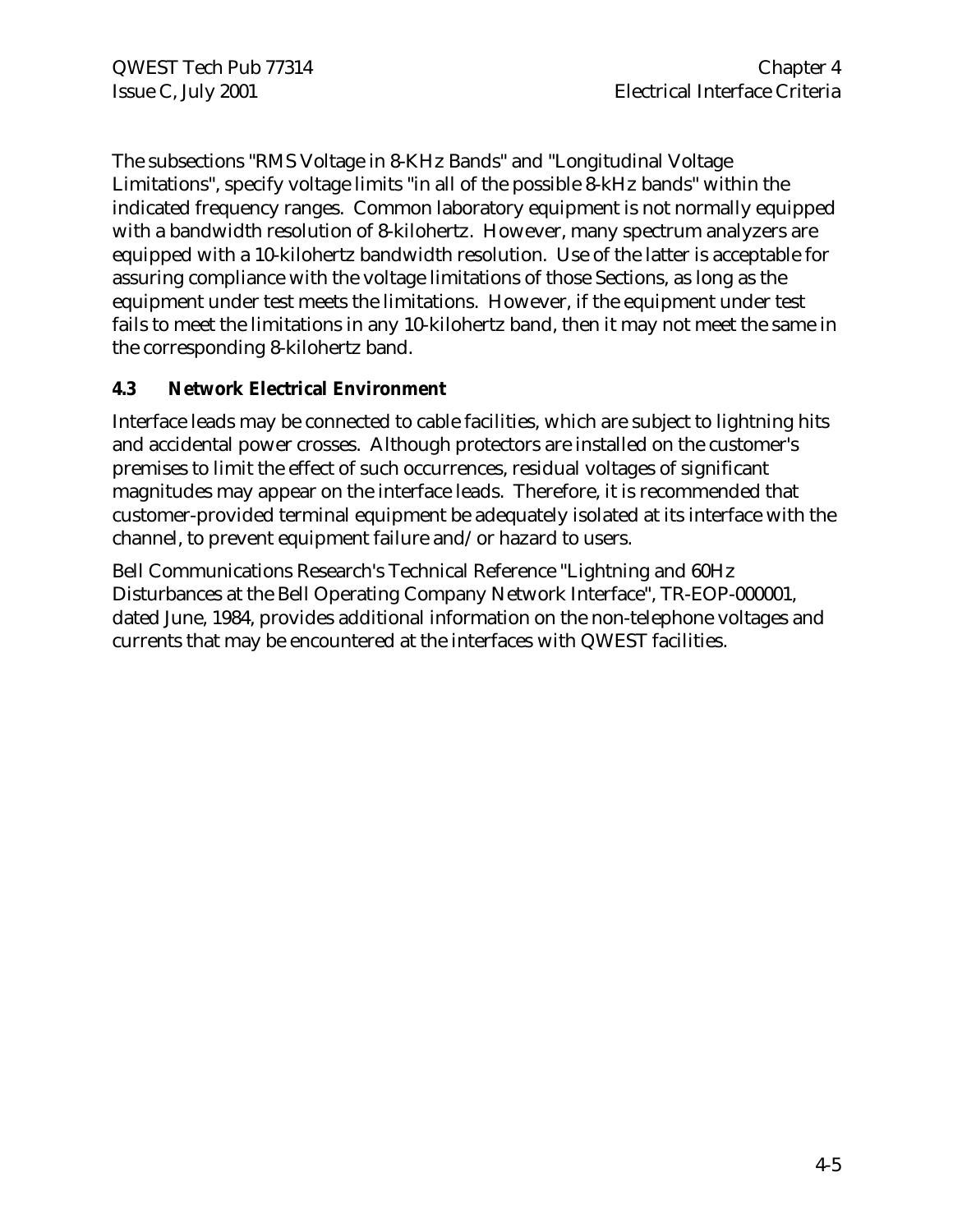The subsections "RMS Voltage in 8-KHz Bands" and "Longitudinal Voltage Limitations", specify voltage limits "in all of the possible 8-kHz bands" within the indicated frequency ranges. Common laboratory equipment is not normally equipped with a bandwidth resolution of 8-kilohertz. However, many spectrum analyzers are equipped with a 10-kilohertz bandwidth resolution. Use of the latter is acceptable for assuring compliance with the voltage limitations of those Sections, as long as the equipment under test meets the limitations. However, if the equipment under test fails to meet the limitations in any 10-kilohertz band, then it may not meet the same in the corresponding 8-kilohertz band.

# **4.3 Network Electrical Environment**

Interface leads may be connected to cable facilities, which are subject to lightning hits and accidental power crosses. Although protectors are installed on the customer's premises to limit the effect of such occurrences, residual voltages of significant magnitudes may appear on the interface leads. Therefore, it is recommended that customer-provided terminal equipment be adequately isolated at its interface with the channel, to prevent equipment failure and/or hazard to users.

Bell Communications Research's Technical Reference "Lightning and 60Hz Disturbances at the Bell Operating Company Network Interface", TR-EOP-000001, dated June, 1984, provides additional information on the non-telephone voltages and currents that may be encountered at the interfaces with QWEST facilities.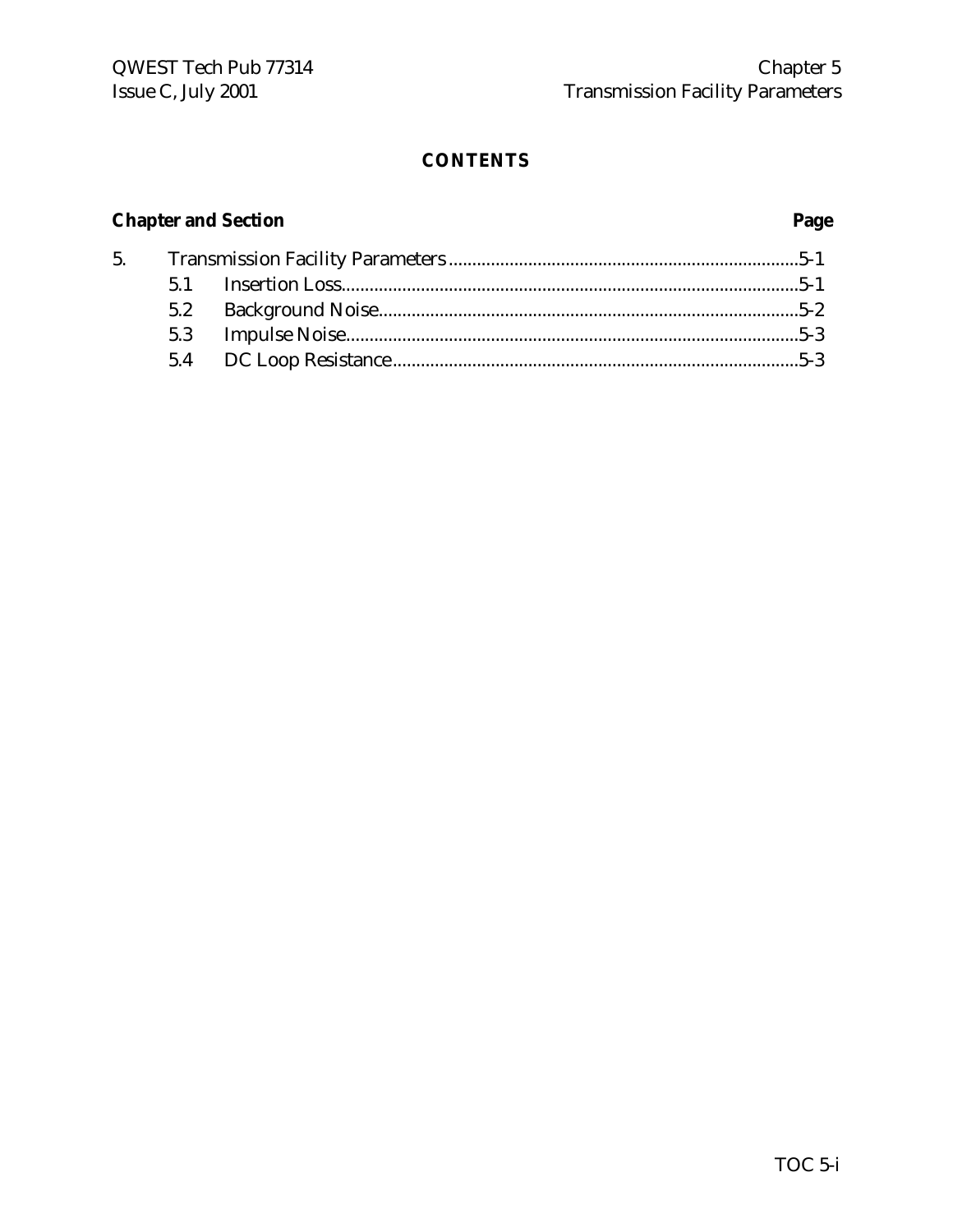# **Chapter and Section Page**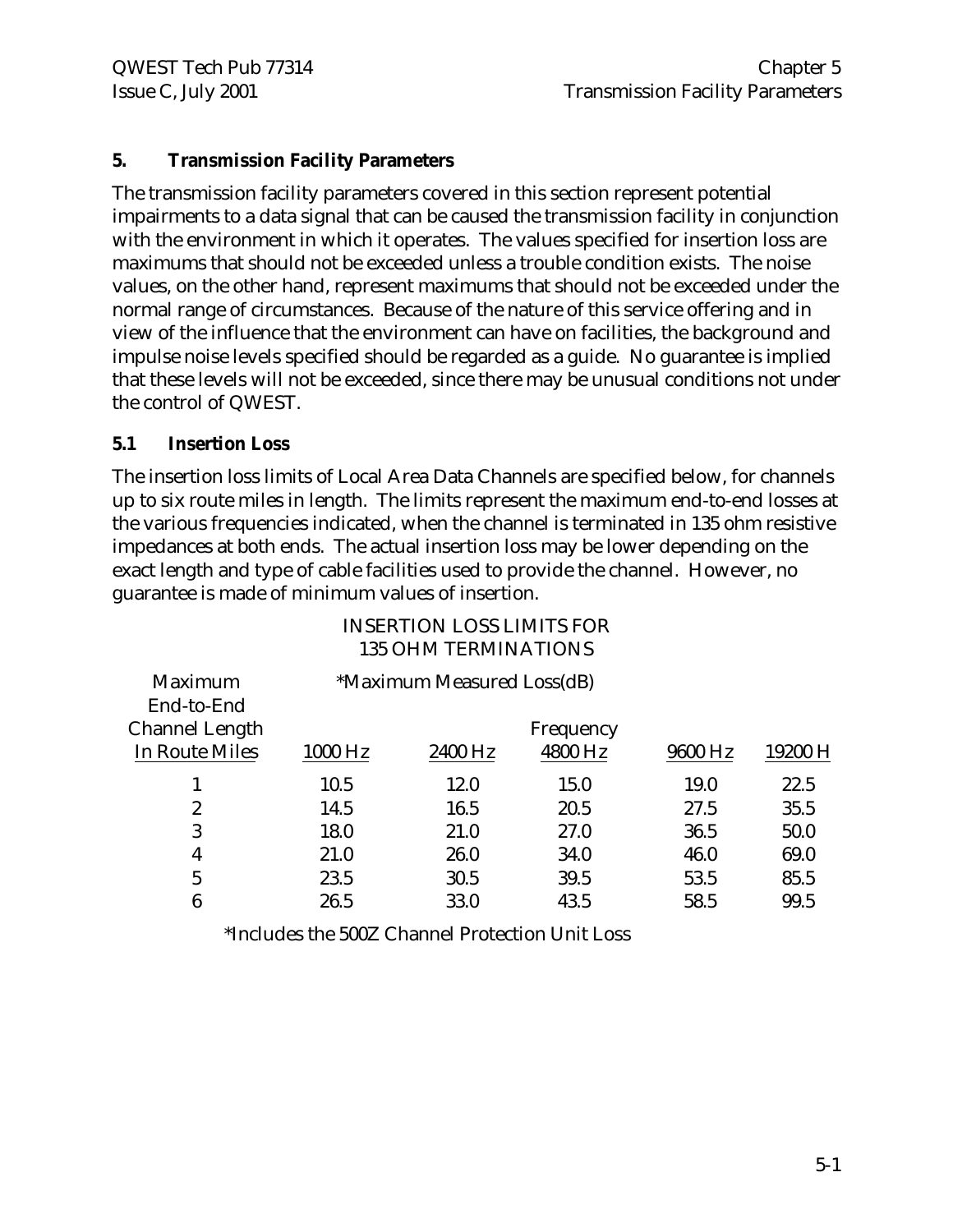# **5. Transmission Facility Parameters**

The transmission facility parameters covered in this section represent potential impairments to a data signal that can be caused the transmission facility in conjunction with the environment in which it operates. The values specified for insertion loss are maximums that should not be exceeded unless a trouble condition exists. The noise values, on the other hand, represent maximums that should not be exceeded under the normal range of circumstances. Because of the nature of this service offering and in view of the influence that the environment can have on facilities, the background and impulse noise levels specified should be regarded as a guide. No guarantee is implied that these levels will not be exceeded, since there may be unusual conditions not under the control of QWEST.

#### **5.1 Insertion Loss**

The insertion loss limits of Local Area Data Channels are specified below, for channels up to six route miles in length. The limits represent the maximum end-to-end losses at the various frequencies indicated, when the channel is terminated in 135 ohm resistive impedances at both ends. The actual insertion loss may be lower depending on the exact length and type of cable facilities used to provide the channel. However, no guarantee is made of minimum values of insertion.

|                  |         | 133 UHNI LENNIINATIUNS     |           |         |         |
|------------------|---------|----------------------------|-----------|---------|---------|
| <b>Maximum</b>   |         | *Maximum Measured Loss(dB) |           |         |         |
| End-to-End       |         |                            |           |         |         |
| Channel Length   |         |                            | Frequency |         |         |
| In Route Miles   | 1000 Hz | 2400 Hz                    | 4800 Hz   | 9600 Hz | 19200 H |
| 1                | 10.5    | 12.0                       | 15.0      | 19.0    | 22.5    |
| $\boldsymbol{2}$ | 14.5    | 16.5                       | 20.5      | 27.5    | 35.5    |
| 3                | 18.0    | 21.0                       | 27.0      | 36.5    | 50.0    |
| 4                | 21.0    | 26.0                       | 34.0      | 46.0    | 69.0    |
| $\overline{5}$   | 23.5    | 30.5                       | 39.5      | 53.5    | 85.5    |
| 6                | 26.5    | 33.0                       | 43.5      | 58.5    | 99.5    |
|                  |         |                            |           |         |         |

# INSERTION LOSS LIMITS FOR 125 OHM TERMINATIONS

\*Includes the 500Z Channel Protection Unit Loss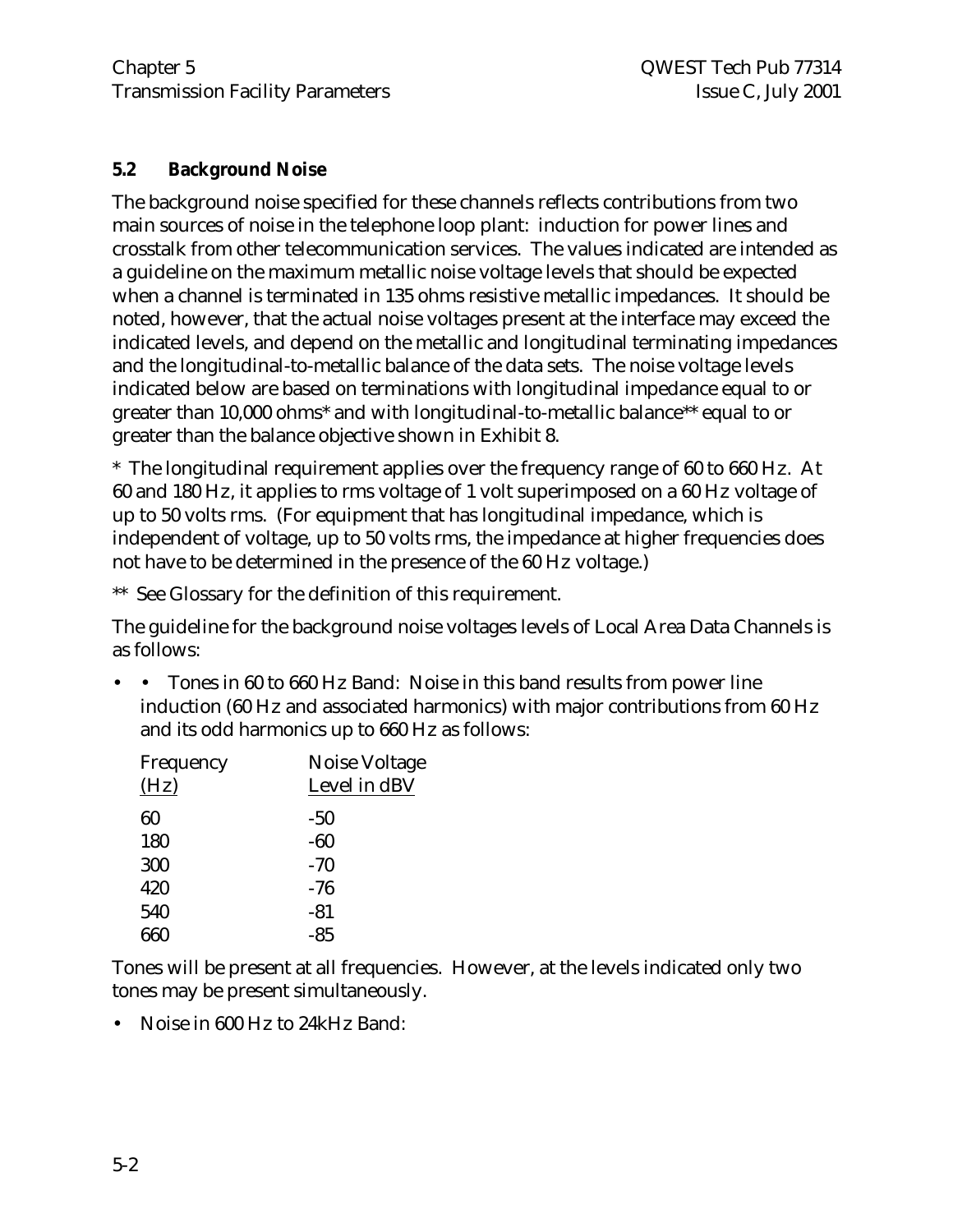### **5.2 Background Noise**

The background noise specified for these channels reflects contributions from two main sources of noise in the telephone loop plant: induction for power lines and crosstalk from other telecommunication services. The values indicated are intended as a guideline on the maximum metallic noise voltage levels that should be expected when a channel is terminated in 135 ohms resistive metallic impedances. It should be noted, however, that the actual noise voltages present at the interface may exceed the indicated levels, and depend on the metallic and longitudinal terminating impedances and the longitudinal-to-metallic balance of the data sets. The noise voltage levels indicated below are based on terminations with longitudinal impedance equal to or greater than 10,000 ohms\* and with longitudinal-to-metallic balance\*\* equal to or greater than the balance objective shown in Exhibit 8.

\* The longitudinal requirement applies over the frequency range of 60 to 660 Hz. At 60 and 180 Hz, it applies to rms voltage of 1 volt superimposed on a 60 Hz voltage of up to 50 volts rms. (For equipment that has longitudinal impedance, which is independent of voltage, up to 50 volts rms, the impedance at higher frequencies does not have to be determined in the presence of the 60 Hz voltage.)

\*\* See Glossary for the definition of this requirement.

The guideline for the background noise voltages levels of Local Area Data Channels is as follows:

• • Tones in 60 to 660 Hz Band: Noise in this band results from power line induction (60 Hz and associated harmonics) with major contributions from 60 Hz and its odd harmonics up to 660 Hz as follows:

| Noise Voltage |
|---------------|
| Level in dBV  |
| -50           |
| $-60$         |
| $-70$         |
| -76           |
| $-81$         |
| $-85$         |
|               |

Tones will be present at all frequencies. However, at the levels indicated only two tones may be present simultaneously.

• Noise in 600 Hz to 24kHz Band: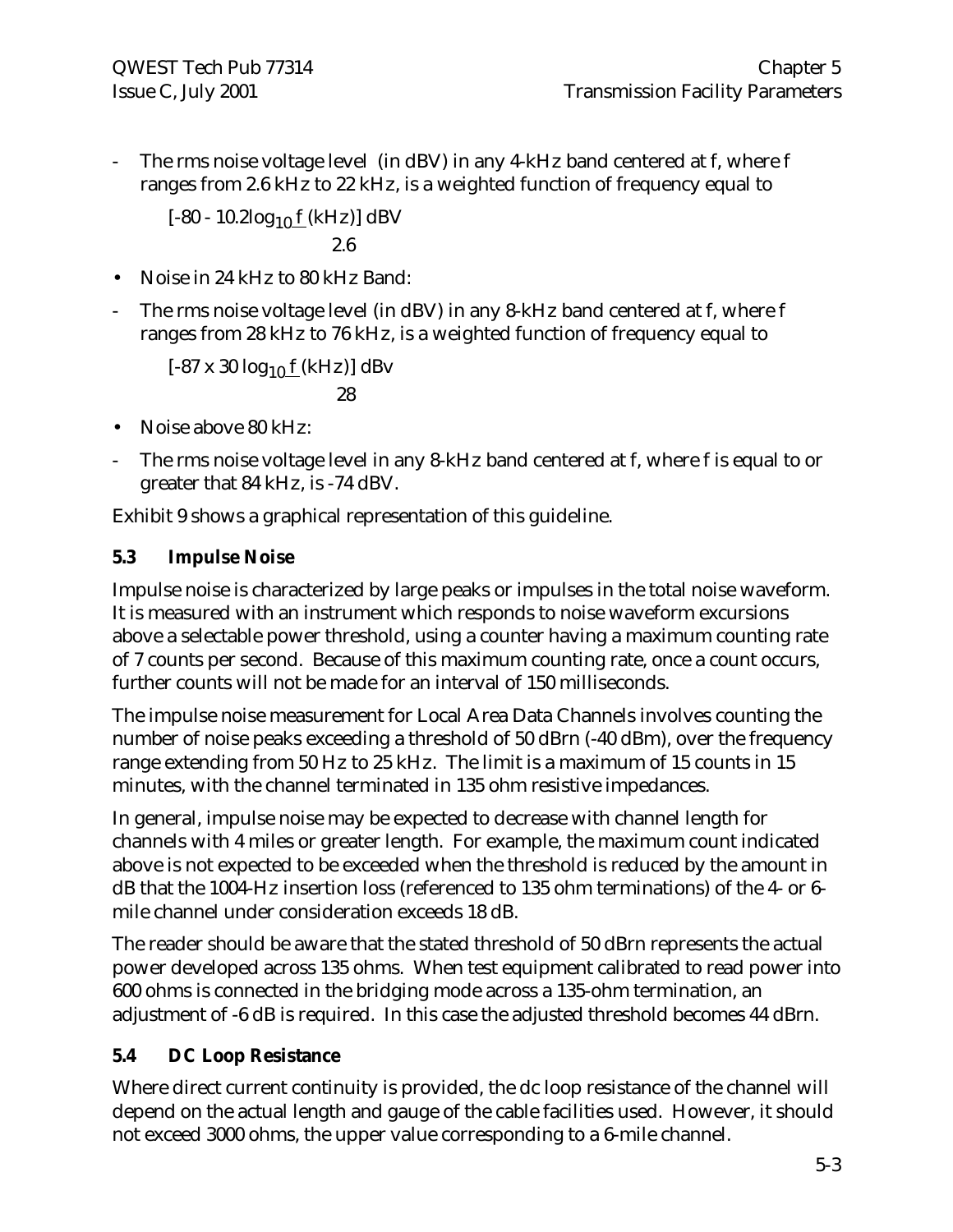The rms noise voltage level (in dBV) in any 4-kHz band centered at f, where f ranges from 2.6 kHz to 22 kHz, is a weighted function of frequency equal to

 $[-80 - 10.2 \log_{10} f (kHz)]$  dBV

$$
2.6\,
$$

- Noise in 24 kHz to 80 kHz Band:
- The rms noise voltage level (in dBV) in any 8-kHz band centered at f, where f ranges from 28 kHz to 76 kHz, is a weighted function of frequency equal to

 $[-87 \times 30 \log_{10} f (kHz)]$  dBv

$$
28\,
$$

- Noise above 80 kHz:
- The rms noise voltage level in any 8-kHz band centered at f, where f is equal to or greater that 84 kHz, is -74 dBV.

Exhibit 9 shows a graphical representation of this guideline.

# **5.3 Impulse Noise**

Impulse noise is characterized by large peaks or impulses in the total noise waveform. It is measured with an instrument which responds to noise waveform excursions above a selectable power threshold, using a counter having a maximum counting rate of 7 counts per second. Because of this maximum counting rate, once a count occurs, further counts will not be made for an interval of 150 milliseconds.

The impulse noise measurement for Local Area Data Channels involves counting the number of noise peaks exceeding a threshold of 50 dBrn (-40 dBm), over the frequency range extending from 50 Hz to 25 kHz. The limit is a maximum of 15 counts in 15 minutes, with the channel terminated in 135 ohm resistive impedances.

In general, impulse noise may be expected to decrease with channel length for channels with 4 miles or greater length. For example, the maximum count indicated above is not expected to be exceeded when the threshold is reduced by the amount in dB that the 1004-Hz insertion loss (referenced to 135 ohm terminations) of the 4- or 6 mile channel under consideration exceeds 18 dB.

The reader should be aware that the stated threshold of 50 dBrn represents the actual power developed across 135 ohms. When test equipment calibrated to read power into 600 ohms is connected in the bridging mode across a 135-ohm termination, an adjustment of -6 dB is required. In this case the adjusted threshold becomes 44 dBrn.

# **5.4 DC Loop Resistance**

Where direct current continuity is provided, the dc loop resistance of the channel will depend on the actual length and gauge of the cable facilities used. However, it should not exceed 3000 ohms, the upper value corresponding to a 6-mile channel.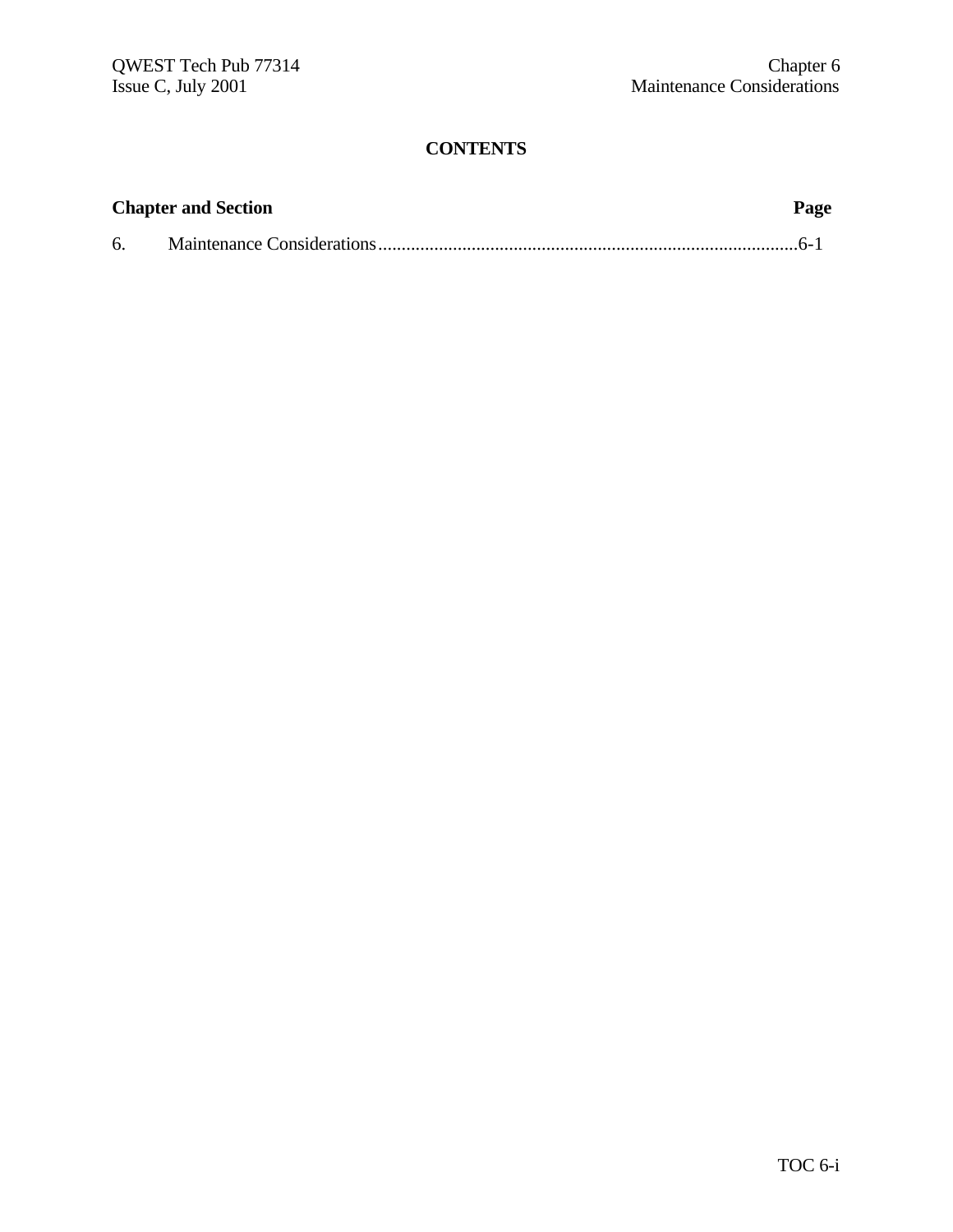| <b>Chapter and Section</b> |  |  |
|----------------------------|--|--|
| 6.                         |  |  |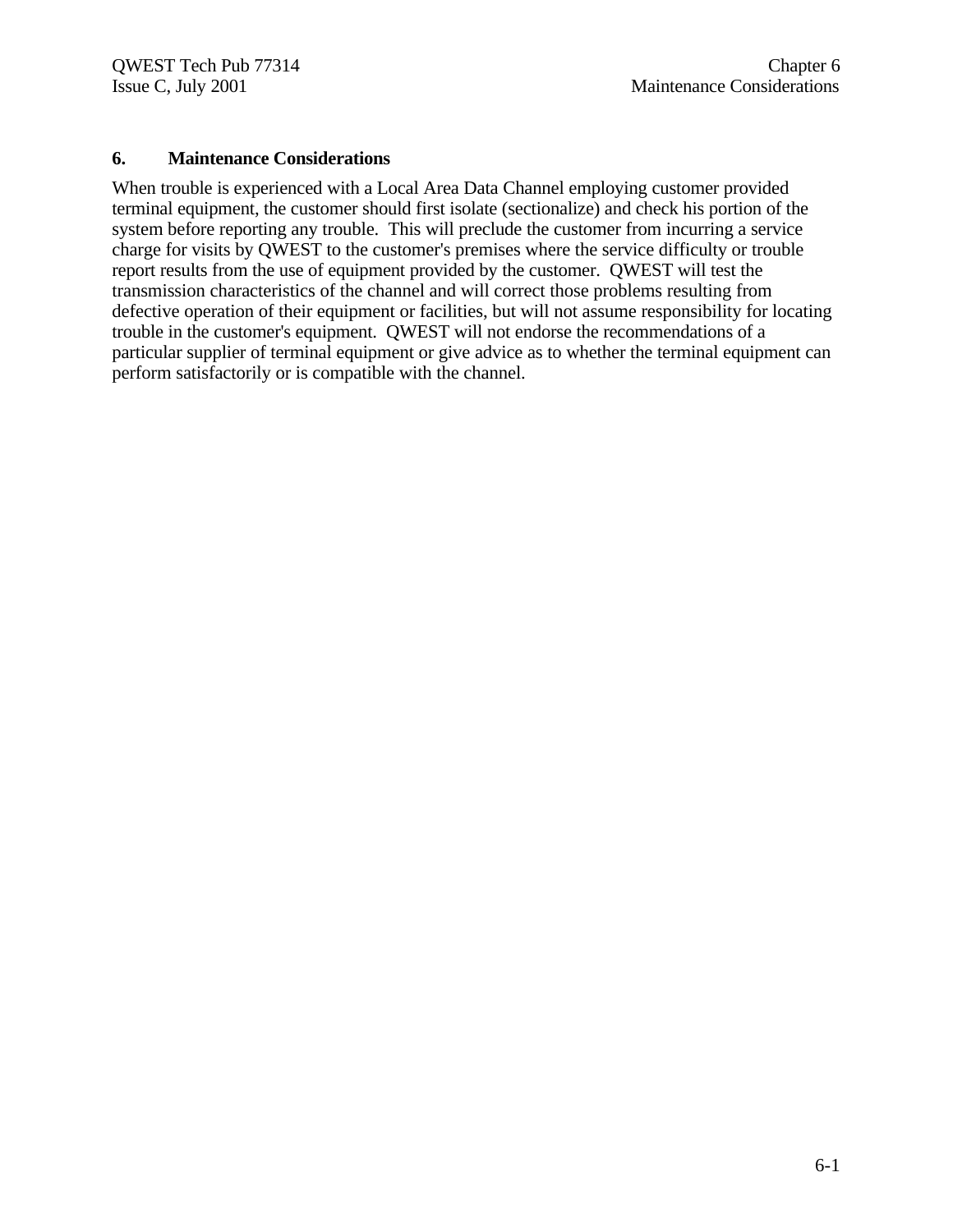#### **6. Maintenance Considerations**

When trouble is experienced with a Local Area Data Channel employing customer provided terminal equipment, the customer should first isolate (sectionalize) and check his portion of the system before reporting any trouble. This will preclude the customer from incurring a service charge for visits by QWEST to the customer's premises where the service difficulty or trouble report results from the use of equipment provided by the customer. QWEST will test the transmission characteristics of the channel and will correct those problems resulting from defective operation of their equipment or facilities, but will not assume responsibility for locating trouble in the customer's equipment. QWEST will not endorse the recommendations of a particular supplier of terminal equipment or give advice as to whether the terminal equipment can perform satisfactorily or is compatible with the channel.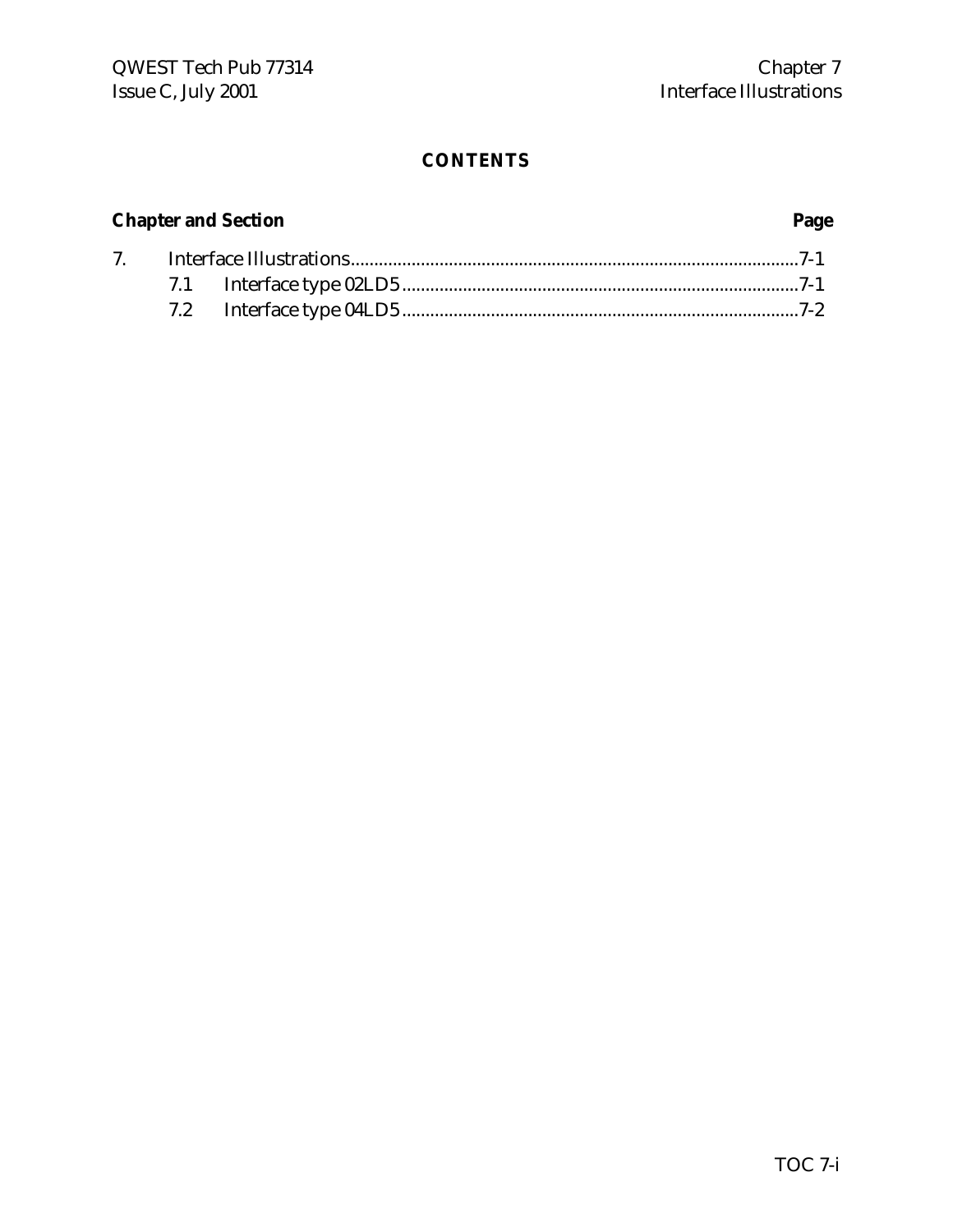# **Chapter and Section Page**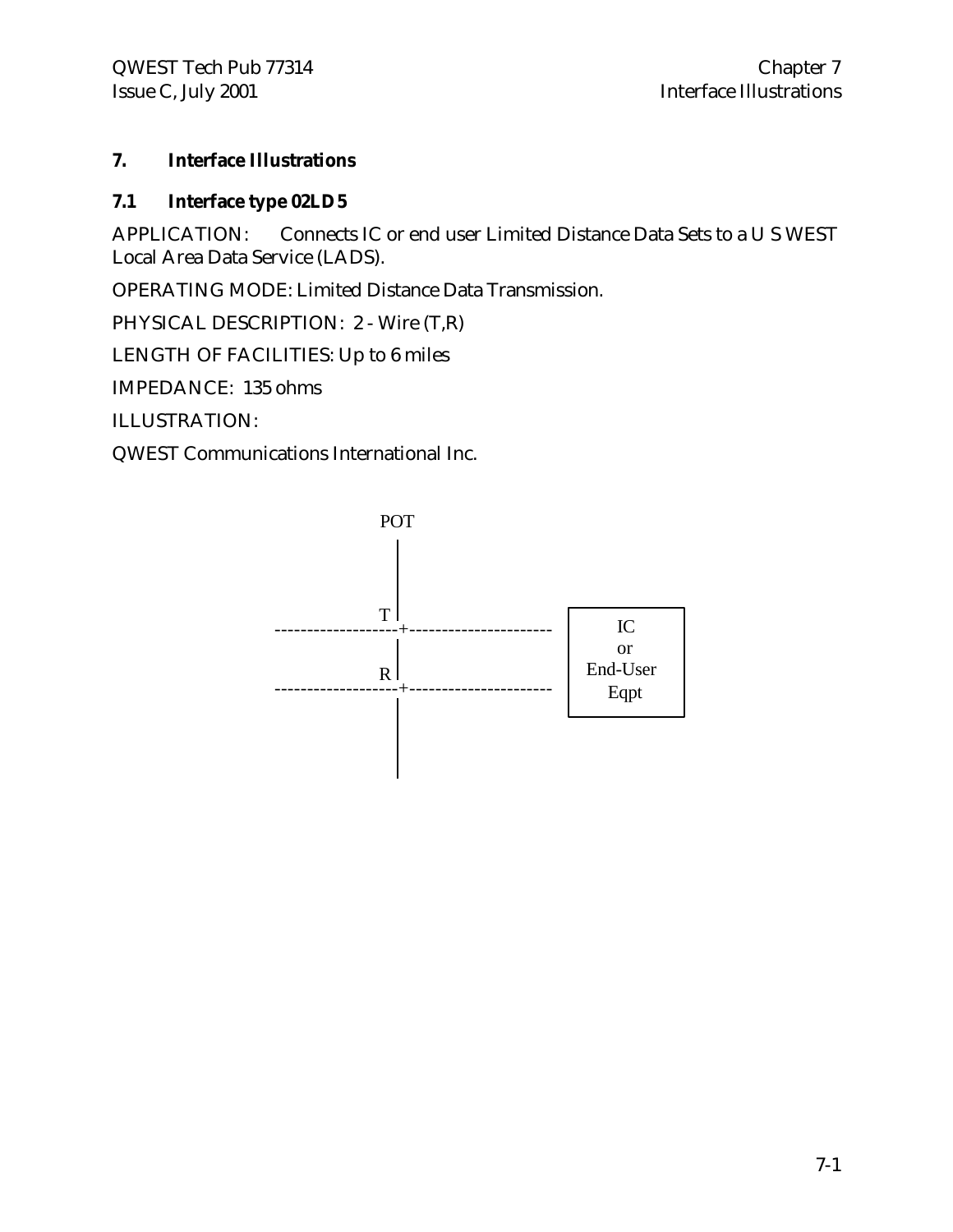# **7. Interface Illustrations**

# **7.1 Interface type 02LD5**

APPLICATION: Connects IC or end user Limited Distance Data Sets to a U S WEST Local Area Data Service (LADS).

OPERATING MODE: Limited Distance Data Transmission.

PHYSICAL DESCRIPTION: 2 - Wire (T,R)

LENGTH OF FACILITIES: Up to 6 miles

IMPEDANCE: 135 ohms

ILLUSTRATION:

QWEST Communications International Inc.

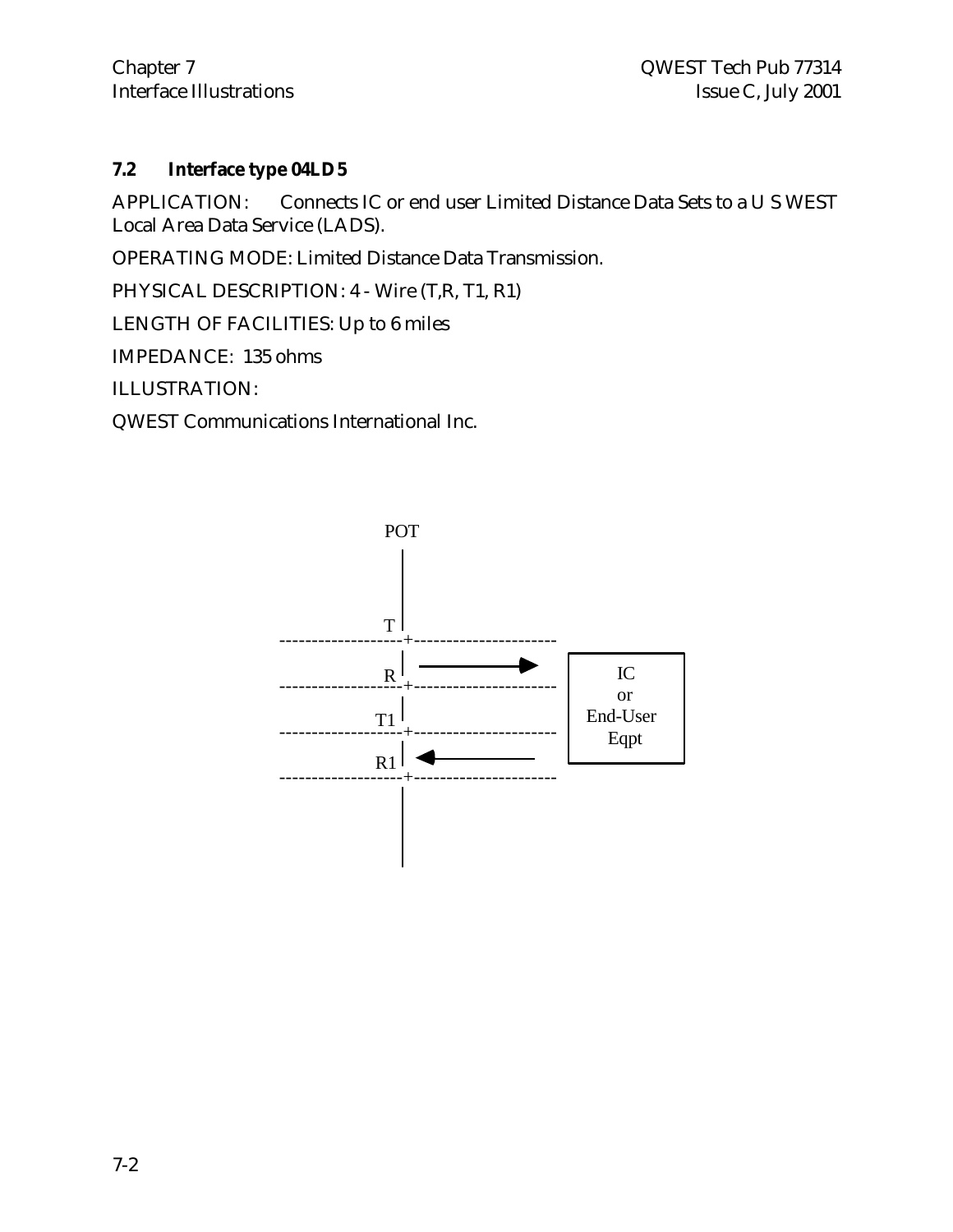Interface Illustrations

# **7.2 Interface type 04LD5**

APPLICATION: Connects IC or end user Limited Distance Data Sets to a U S WEST Local Area Data Service (LADS).

OPERATING MODE: Limited Distance Data Transmission.

PHYSICAL DESCRIPTION: 4 - Wire (T,R, T1, R1)

LENGTH OF FACILITIES: Up to 6 miles

IMPEDANCE: 135 ohms

ILLUSTRATION:

QWEST Communications International Inc.

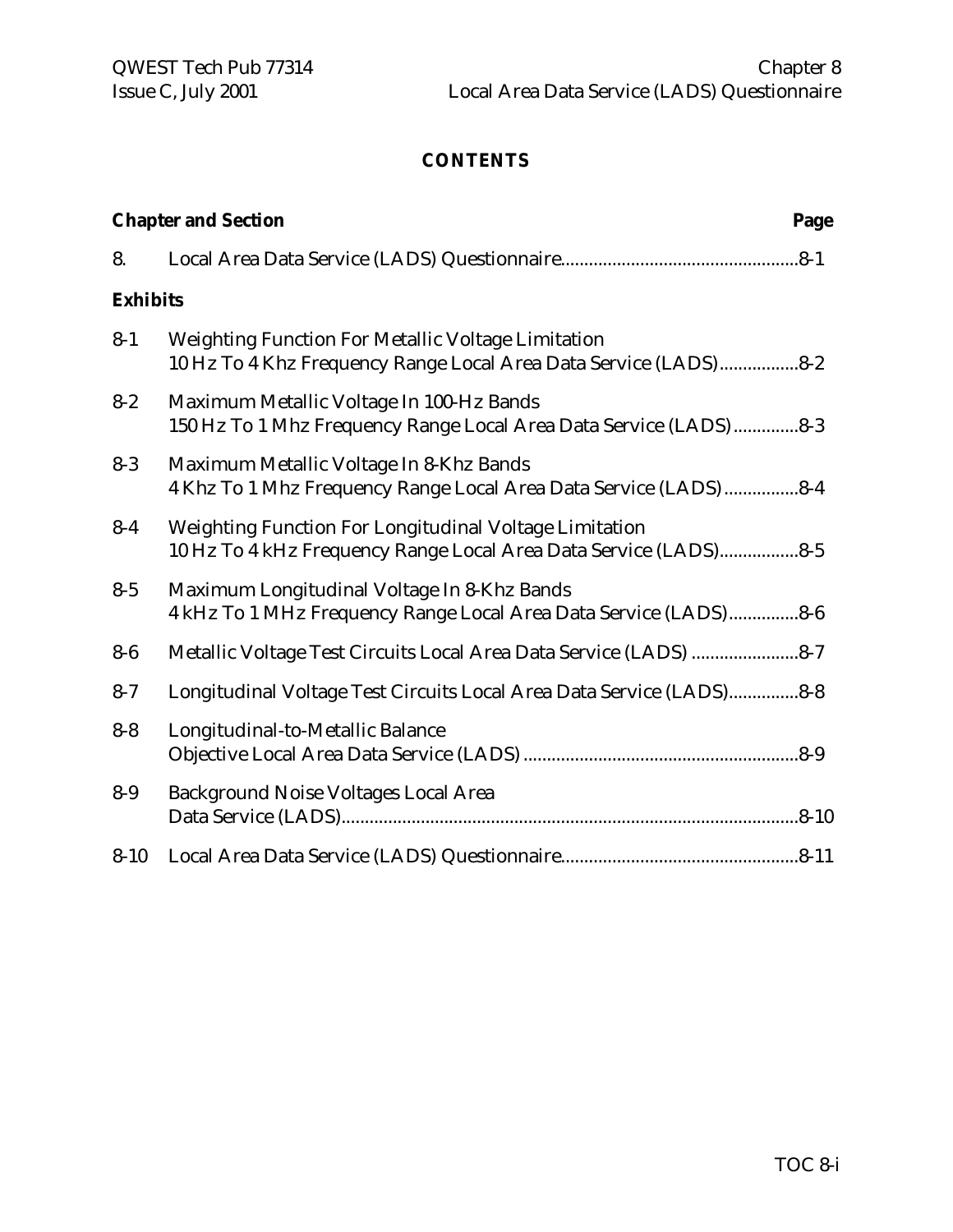|                 | <b>Chapter and Section</b><br>Page                                                                                         |  |  |
|-----------------|----------------------------------------------------------------------------------------------------------------------------|--|--|
| 8.              |                                                                                                                            |  |  |
| <b>Exhibits</b> |                                                                                                                            |  |  |
| $8 - 1$         | Weighting Function For Metallic Voltage Limitation<br>10 Hz To 4 Khz Frequency Range Local Area Data Service (LADS)8-2     |  |  |
| $8 - 2$         | Maximum Metallic Voltage In 100-Hz Bands<br>150 Hz To 1 Mhz Frequency Range Local Area Data Service (LADS) 8-3             |  |  |
| $8 - 3$         | Maximum Metallic Voltage In 8-Khz Bands<br>4 Khz To 1 Mhz Frequency Range Local Area Data Service (LADS) 8-4               |  |  |
| $8-4$           | Weighting Function For Longitudinal Voltage Limitation<br>10 Hz To 4 kHz Frequency Range Local Area Data Service (LADS)8-5 |  |  |
| $8 - 5$         | Maximum Longitudinal Voltage In 8-Khz Bands<br>4 kHz To 1 MHz Frequency Range Local Area Data Service (LADS)8-6            |  |  |
| $8-6$           | Metallic Voltage Test Circuits Local Area Data Service (LADS) 8-7                                                          |  |  |
| $8 - 7$         | Longitudinal Voltage Test Circuits Local Area Data Service (LADS)8-8                                                       |  |  |
| $8 - 8$         | Longitudinal-to-Metallic Balance                                                                                           |  |  |
| $8-9$           | <b>Background Noise Voltages Local Area</b>                                                                                |  |  |
| $8 - 10$        |                                                                                                                            |  |  |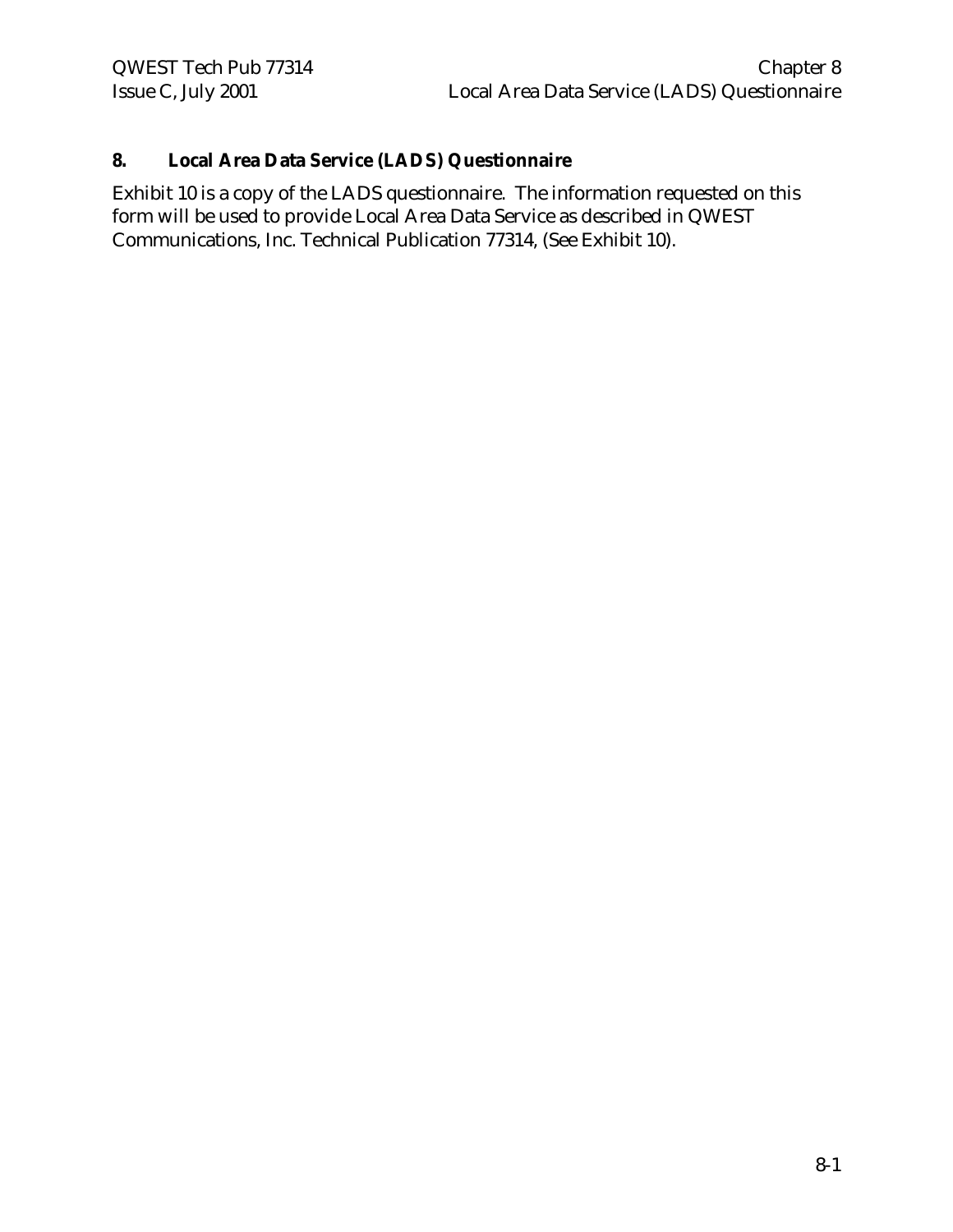# **8. Local Area Data Service (LADS) Questionnaire**

Exhibit 10 is a copy of the LADS questionnaire. The information requested on this form will be used to provide Local Area Data Service as described in QWEST Communications, Inc. Technical Publication 77314, (See Exhibit 10).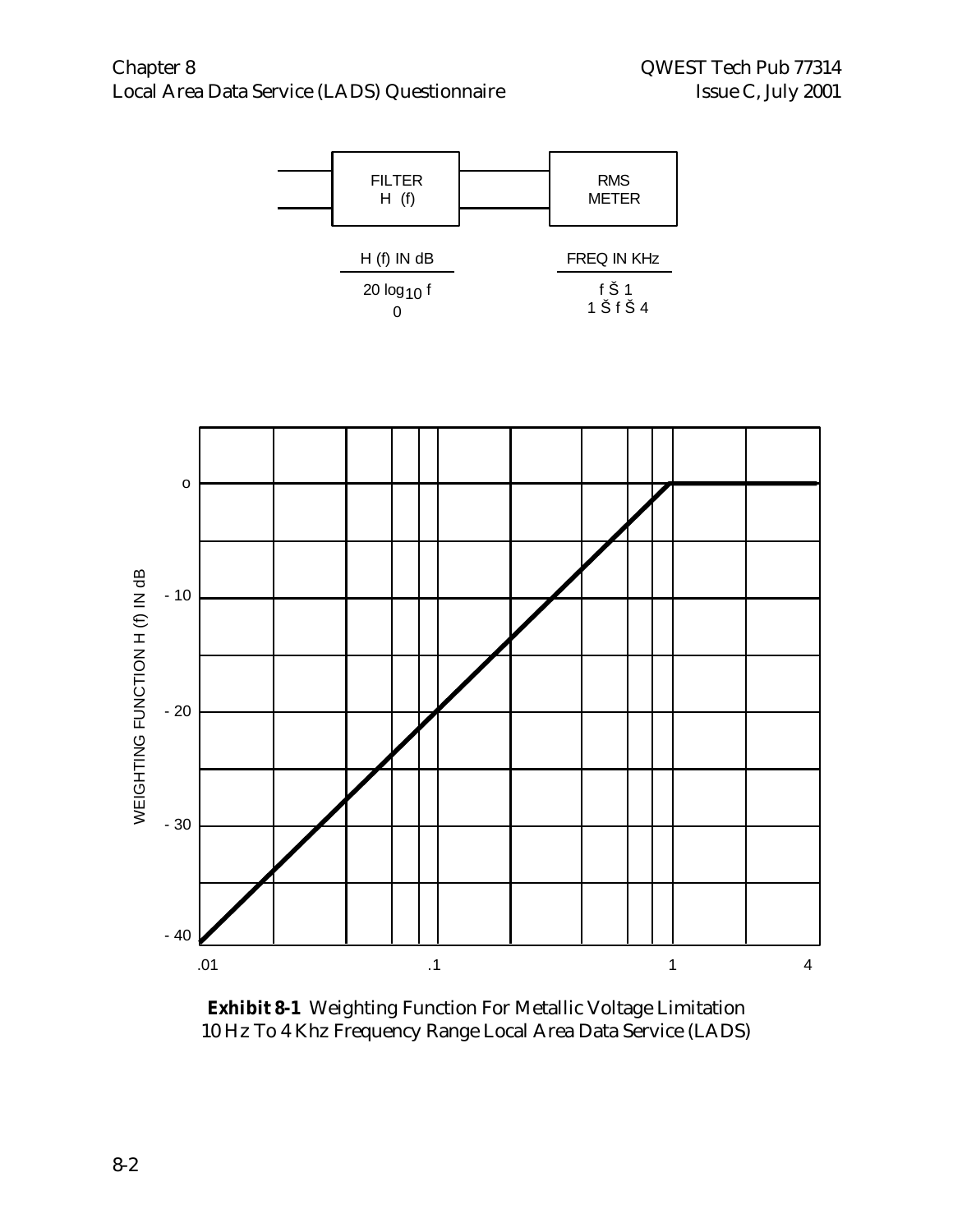

**Exhibit 8-1** Weighting Function For Metallic Voltage Limitation 10 Hz To 4 Khz Frequency Range Local Area Data Service (LADS)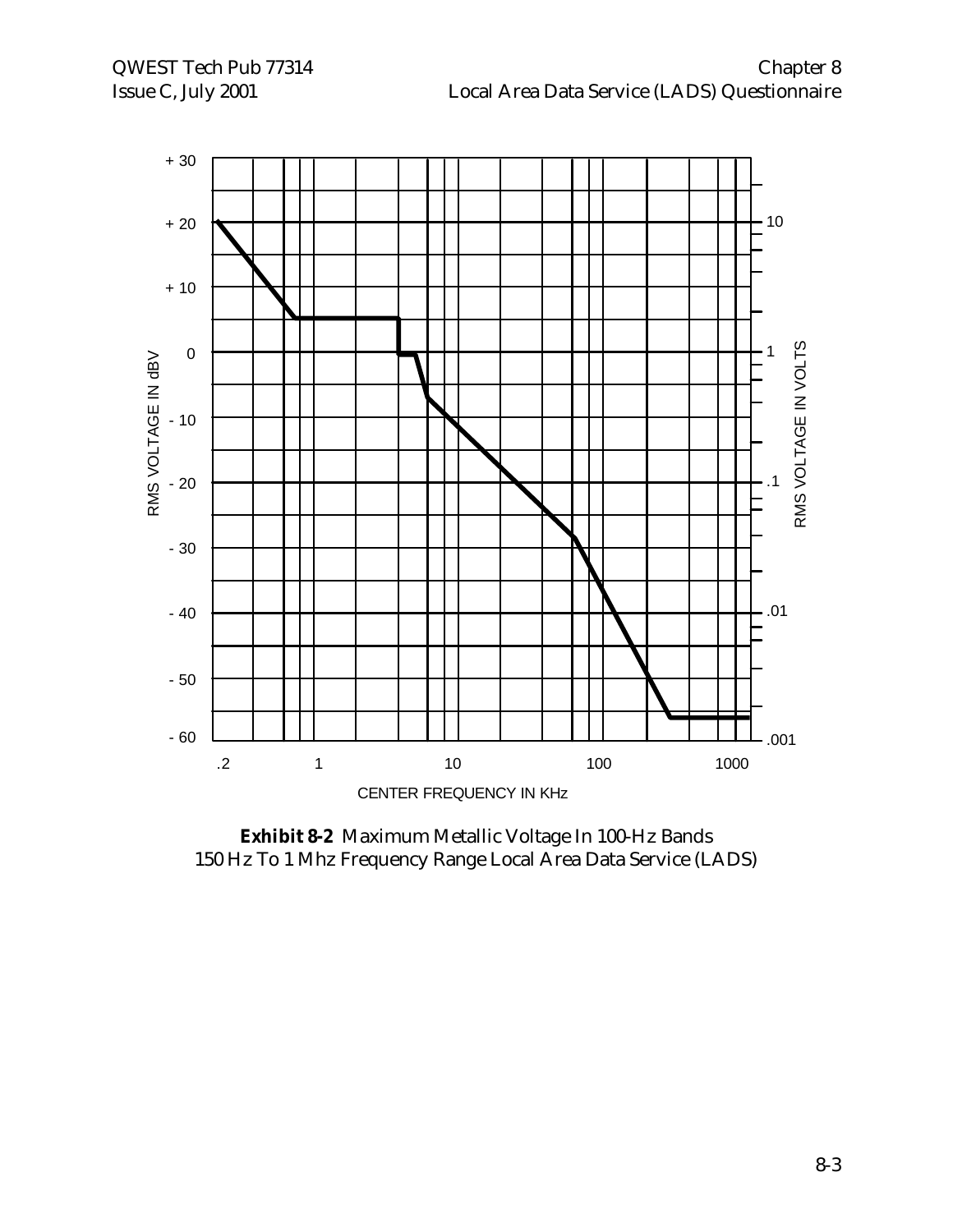

**Exhibit 8-2** Maximum Metallic Voltage In 100-Hz Bands 150 Hz To 1 Mhz Frequency Range Local Area Data Service (LADS)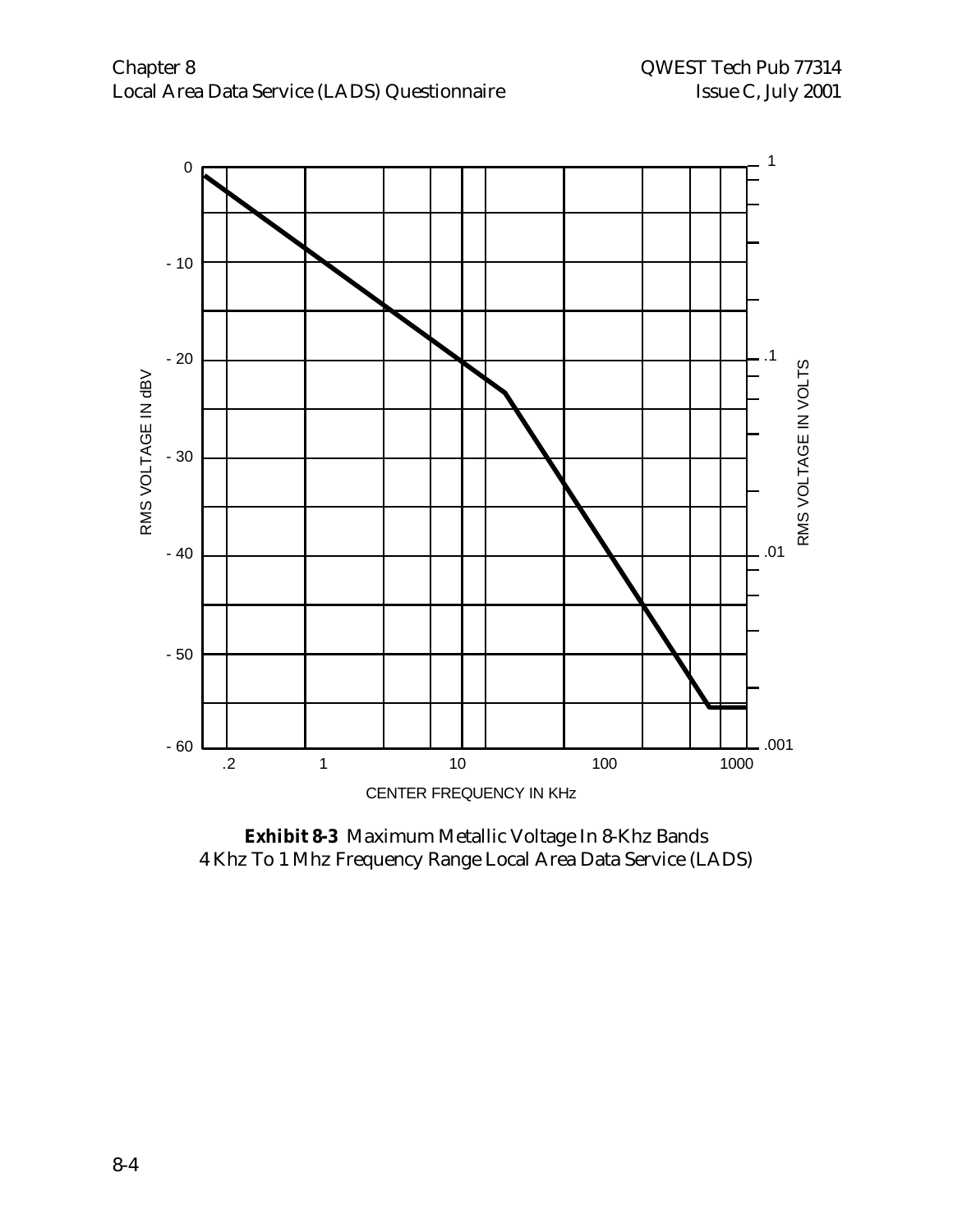

**Exhibit 8-3** Maximum Metallic Voltage In 8-Khz Bands 4 Khz To 1 Mhz Frequency Range Local Area Data Service (LADS)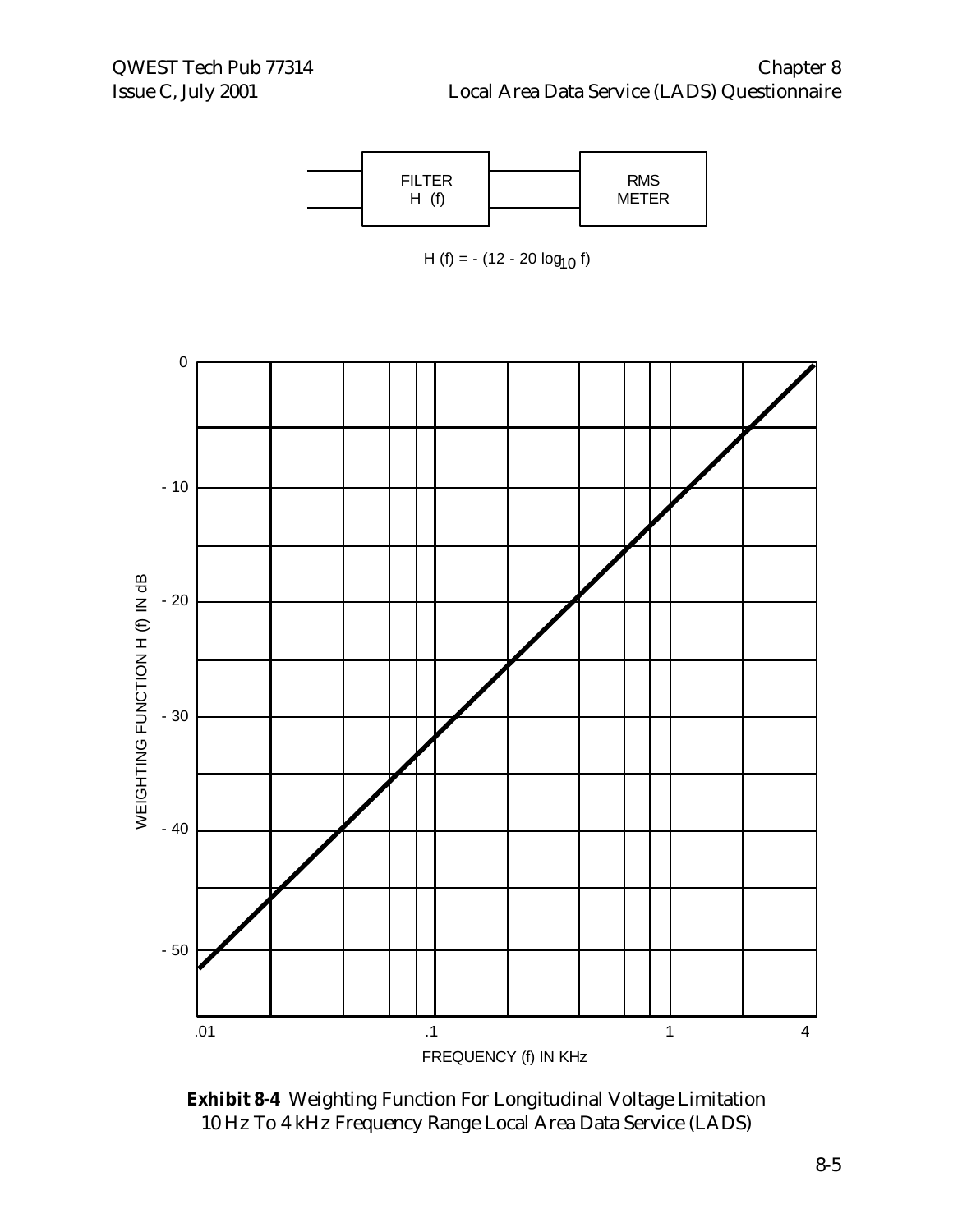

**Exhibit 8-4** Weighting Function For Longitudinal Voltage Limitation 10 Hz To 4 kHz Frequency Range Local Area Data Service (LADS)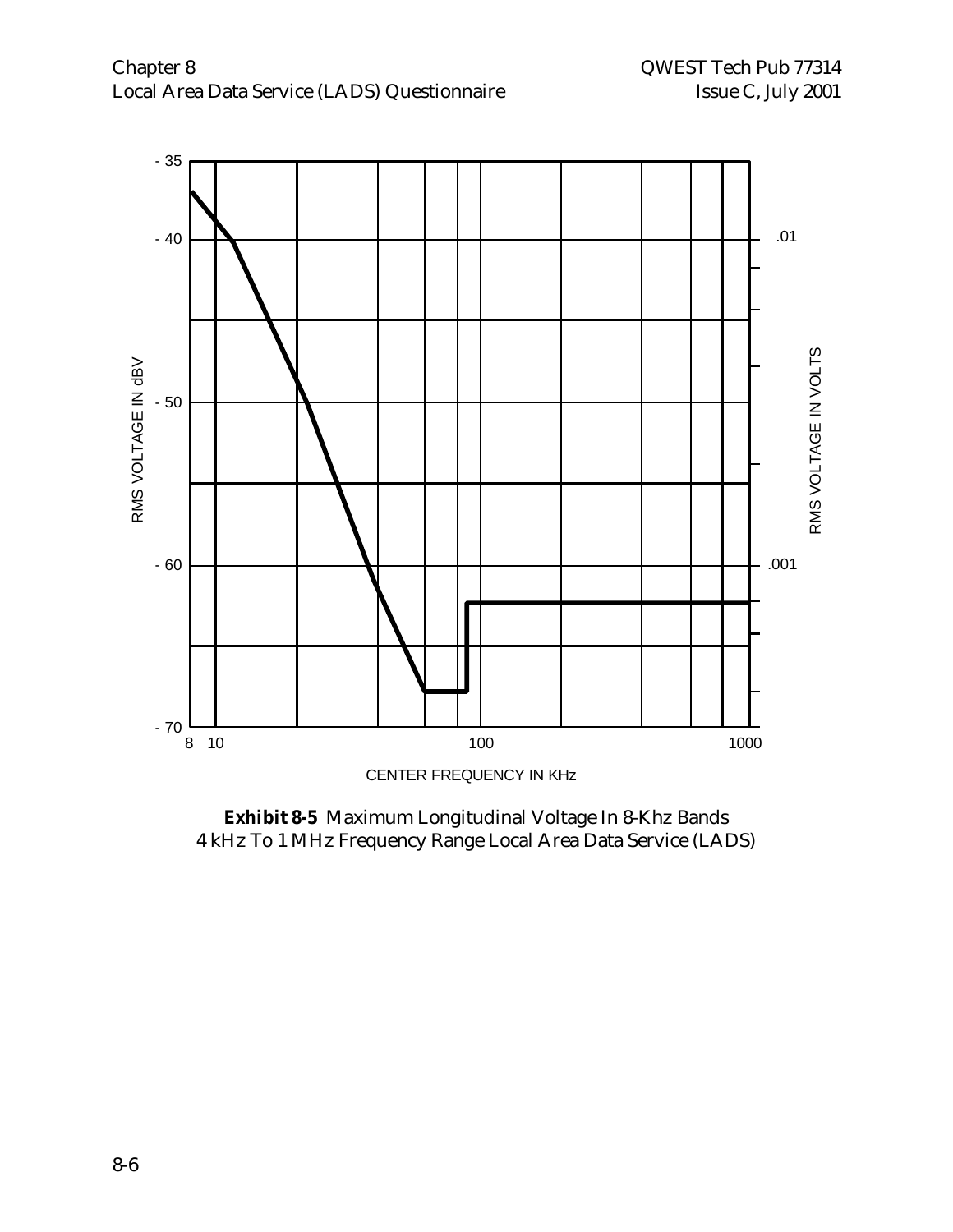

**Exhibit 8-5** Maximum Longitudinal Voltage In 8-Khz Bands 4 kHz To 1 MHz Frequency Range Local Area Data Service (LADS)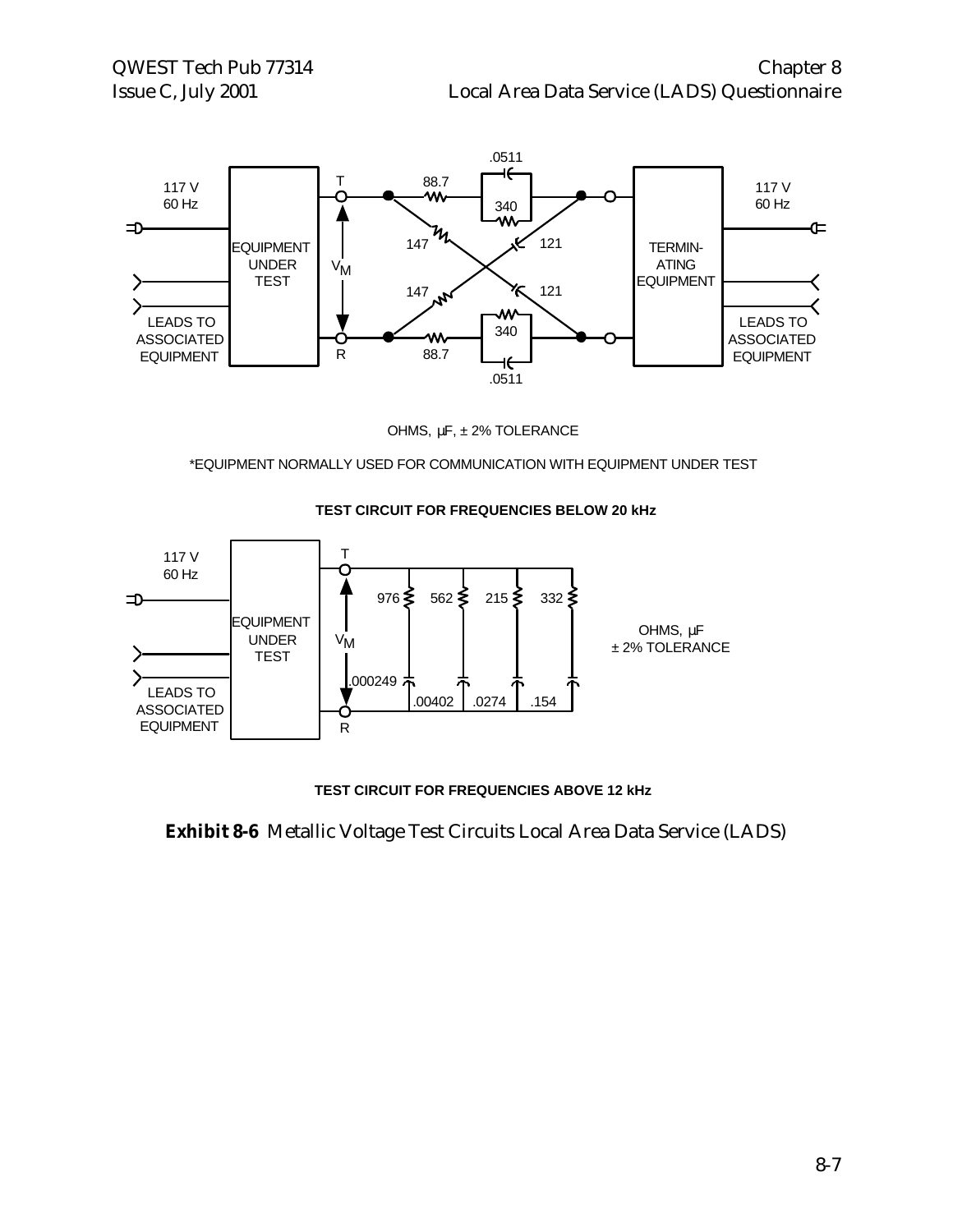

OHMS, μF, ± 2% TOLERANCE

\*EQUIPMENT NORMALLY USED FOR COMMUNICATION WITH EQUIPMENT UNDER TEST



#### **TEST CIRCUIT FOR FREQUENCIES BELOW 20 kHz**

**TEST CIRCUIT FOR FREQUENCIES ABOVE 12 kHz**

**Exhibit 8-6** Metallic Voltage Test Circuits Local Area Data Service (LADS)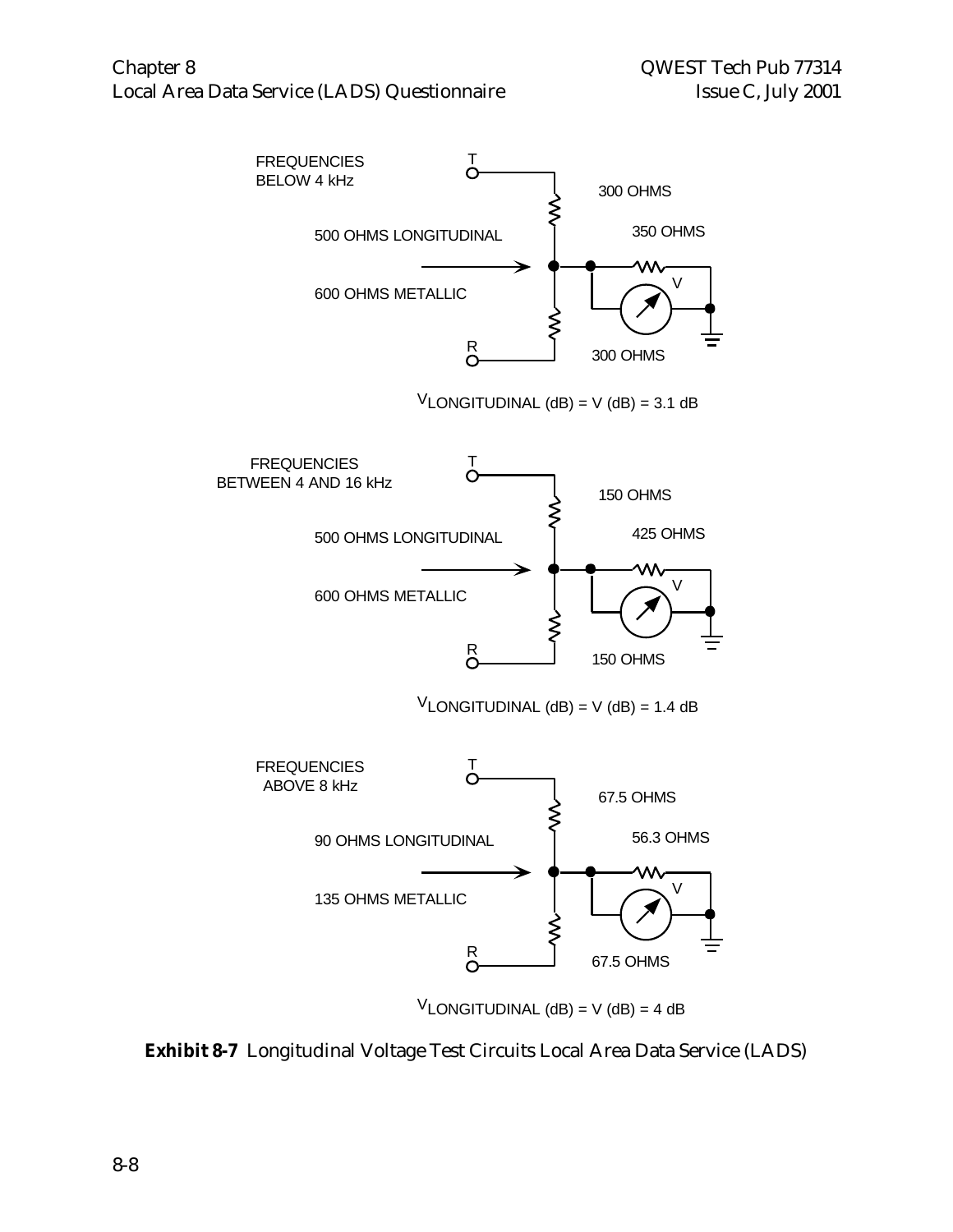

 $V$ LONGITUDINAL (dB) = V (dB) = 4 dB

**Exhibit 8-7** Longitudinal Voltage Test Circuits Local Area Data Service (LADS)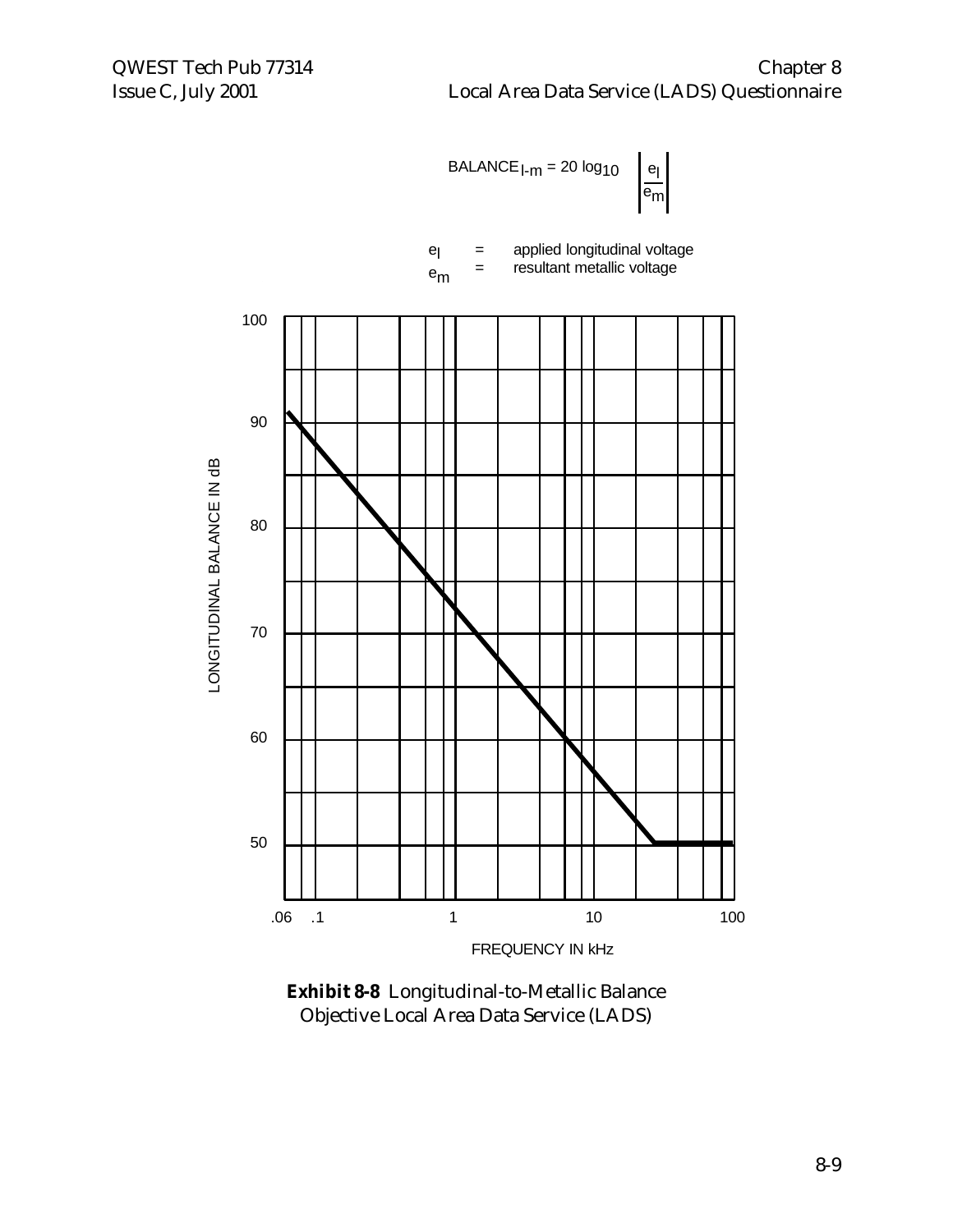

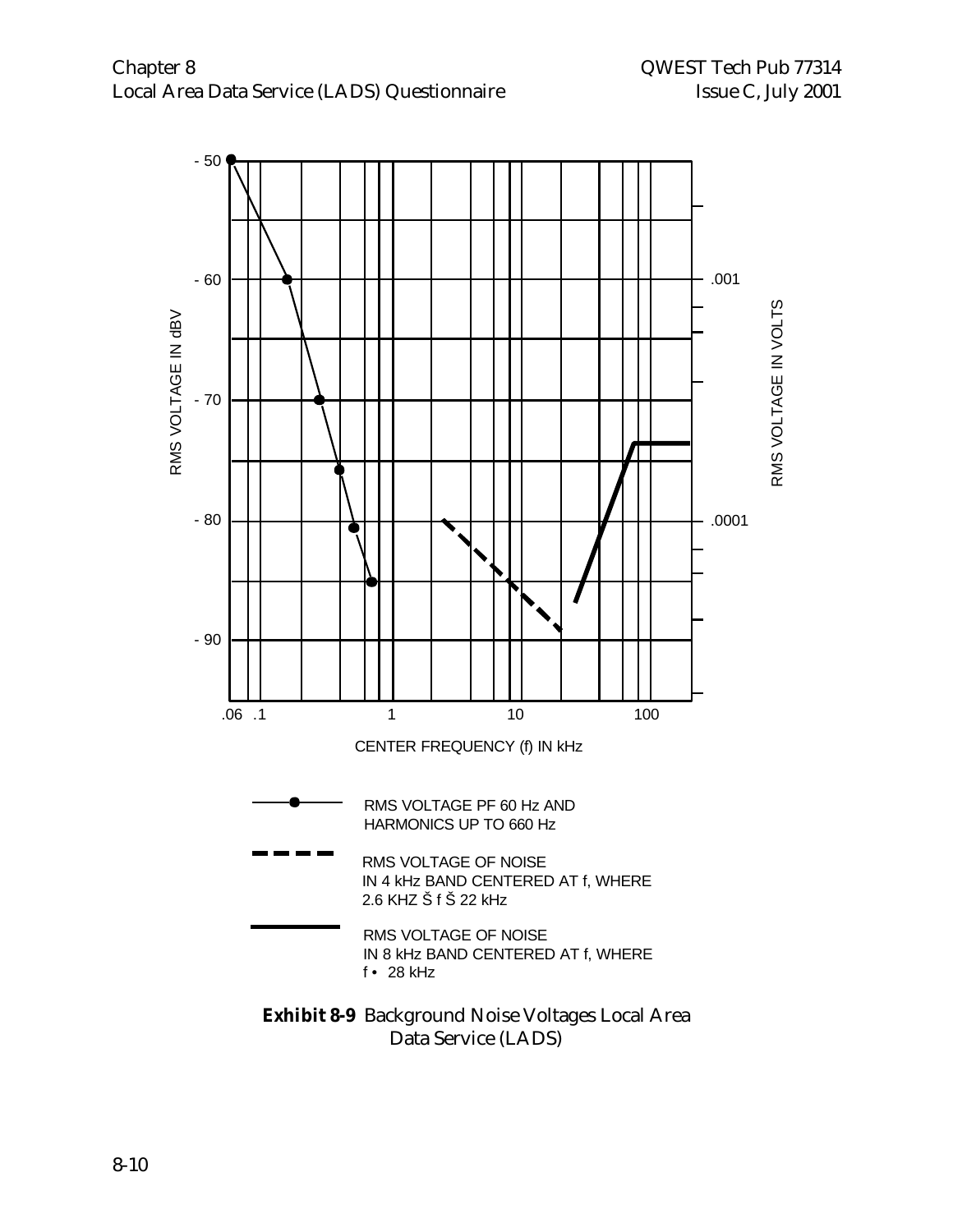

Data Service (LADS)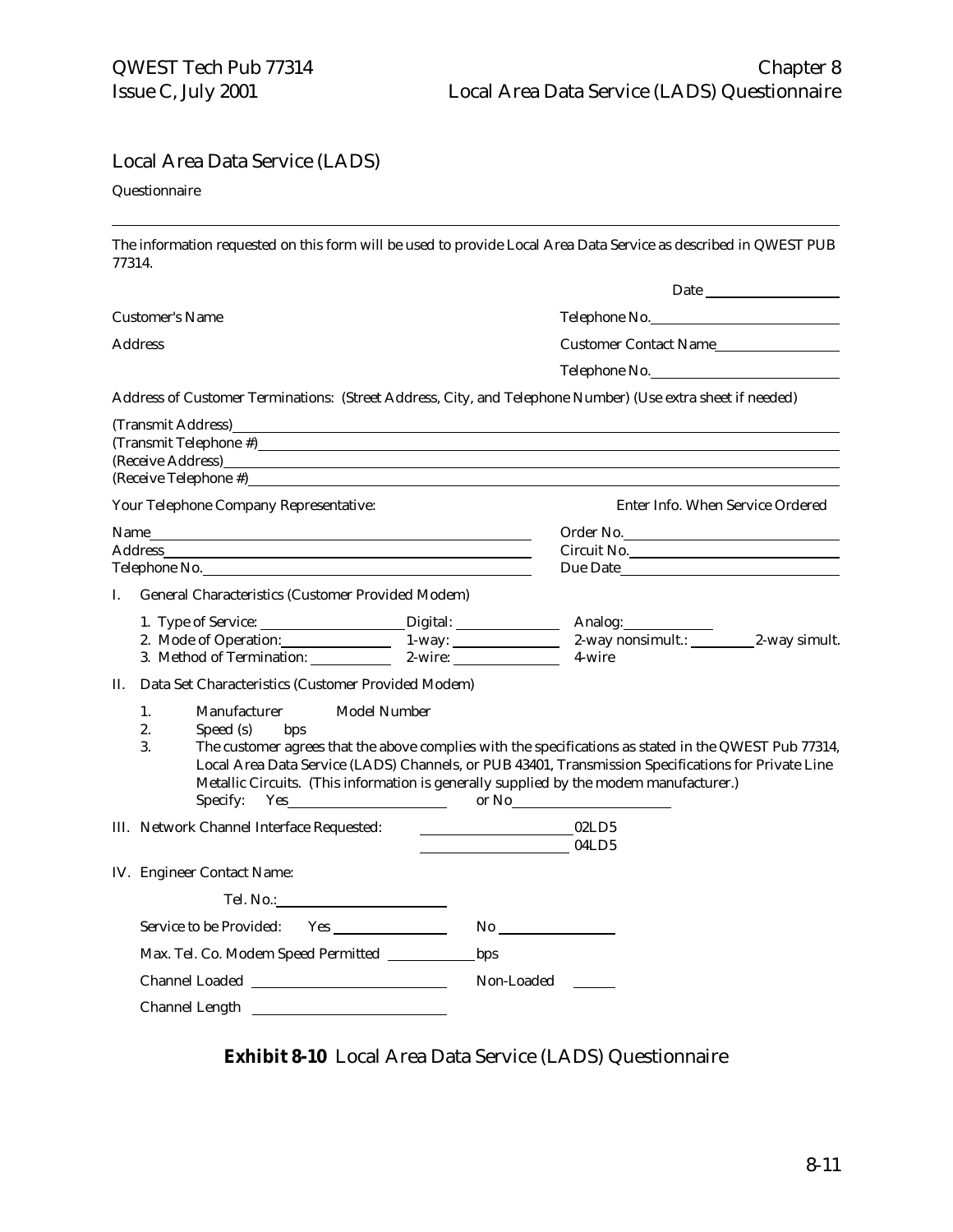#### Local Area Data Service (LADS)

#### Questionnaire

֦

The information requested on this form will be used to provide Local Area Data Service as described in QWEST PUB 77314.

|    | <b>Customer's Name</b>                                                                                                                                                                                                        | Telephone No.                                                                                                                                                                                                                                                                                                                   |
|----|-------------------------------------------------------------------------------------------------------------------------------------------------------------------------------------------------------------------------------|---------------------------------------------------------------------------------------------------------------------------------------------------------------------------------------------------------------------------------------------------------------------------------------------------------------------------------|
|    | <b>Address</b>                                                                                                                                                                                                                | Customer Contact Name                                                                                                                                                                                                                                                                                                           |
|    |                                                                                                                                                                                                                               | Telephone No.                                                                                                                                                                                                                                                                                                                   |
|    |                                                                                                                                                                                                                               | Address of Customer Terminations: (Street Address, City, and Telephone Number) (Use extra sheet if needed)                                                                                                                                                                                                                      |
|    | (Transmit Address)<br><u> 1989 - Johann Barn, mars ann an t-Amhain ann an t-Amhain an t-Amhain an t-Amhain an t-Amhain an t-Amhain an t-</u>                                                                                  |                                                                                                                                                                                                                                                                                                                                 |
|    | Your Telephone Company Representative:                                                                                                                                                                                        | Enter Info. When Service Ordered                                                                                                                                                                                                                                                                                                |
|    | Telephone No. 2008 Communication of the Communication of the Communication of the Communication of the Communication of the Communication of the Communication of the Communication of the Communication of the Communication | Order No.<br>Circuit No.                                                                                                                                                                                                                                                                                                        |
|    | I. General Characteristics (Customer Provided Modem)                                                                                                                                                                          |                                                                                                                                                                                                                                                                                                                                 |
|    |                                                                                                                                                                                                                               | 2. Mode of Operation: 1-way: 2-way nonsimult.: 2-way simult.<br>3. Method of Termination: 2-wire: 2-wire: 4-wire 2-wire                                                                                                                                                                                                         |
| П. | Data Set Characteristics (Customer Provided Modem)                                                                                                                                                                            |                                                                                                                                                                                                                                                                                                                                 |
|    | Model Number<br>1.<br>Manufacturer<br>2.<br>Speed (s)<br>bps<br>3.<br>Specify:                                                                                                                                                | The customer agrees that the above complies with the specifications as stated in the QWEST Pub 77314,<br>Local Area Data Service (LADS) Channels, or PUB 43401, Transmission Specifications for Private Line<br>Metallic Circuits. (This information is generally supplied by the modem manufacturer.)<br>$Yes$ or $No$ or $No$ |
|    |                                                                                                                                                                                                                               | $\underbrace{\hspace{1.5cm}}\hspace{1.5cm}04LD5$                                                                                                                                                                                                                                                                                |
|    | IV. Engineer Contact Name:                                                                                                                                                                                                    |                                                                                                                                                                                                                                                                                                                                 |
|    |                                                                                                                                                                                                                               |                                                                                                                                                                                                                                                                                                                                 |
|    |                                                                                                                                                                                                                               | No                                                                                                                                                                                                                                                                                                                              |
|    |                                                                                                                                                                                                                               |                                                                                                                                                                                                                                                                                                                                 |
|    |                                                                                                                                                                                                                               | Non-Loaded                                                                                                                                                                                                                                                                                                                      |
|    |                                                                                                                                                                                                                               |                                                                                                                                                                                                                                                                                                                                 |

**Exhibit 8-10** Local Area Data Service (LADS) Questionnaire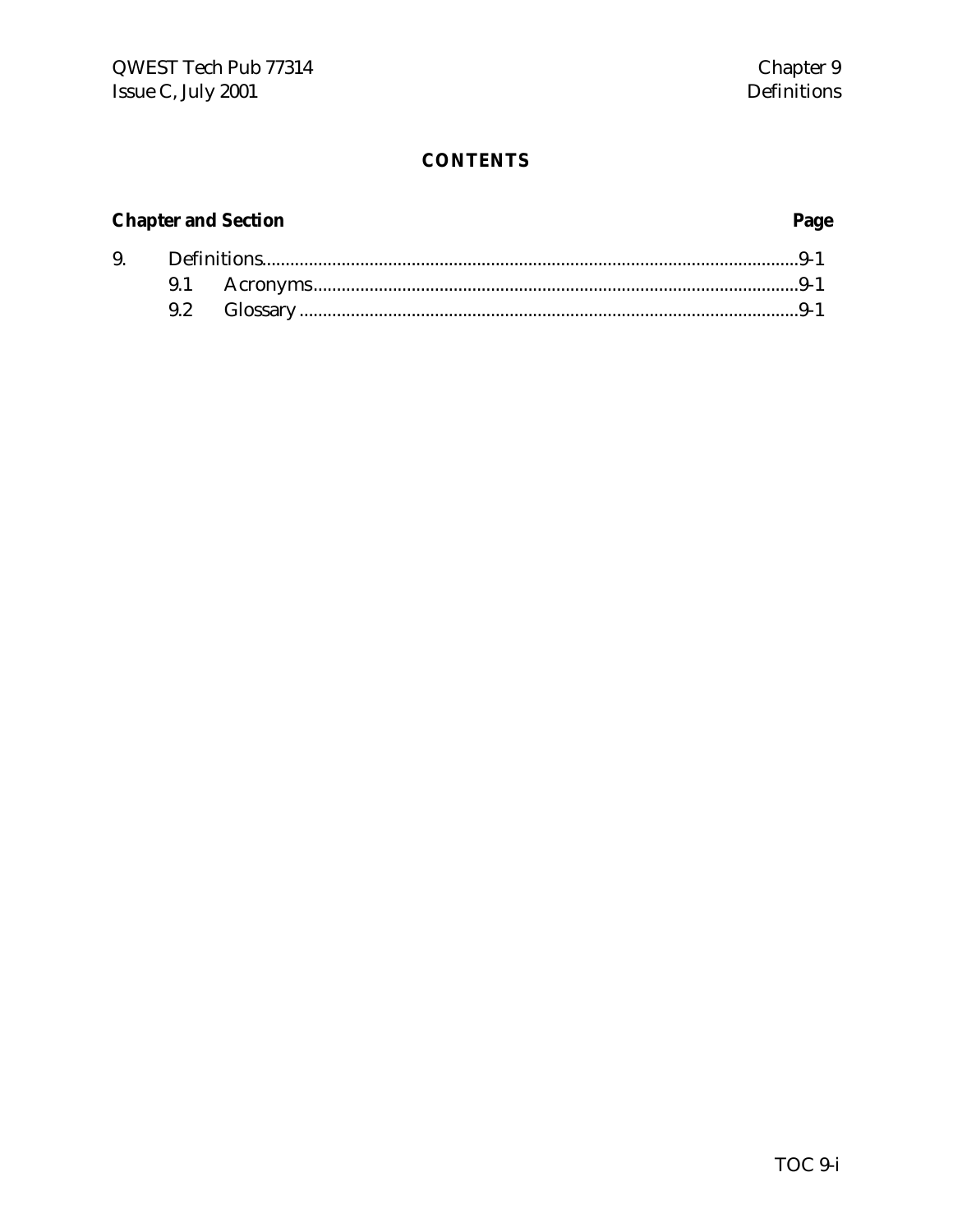# **Chapter and Section**

9.

# Page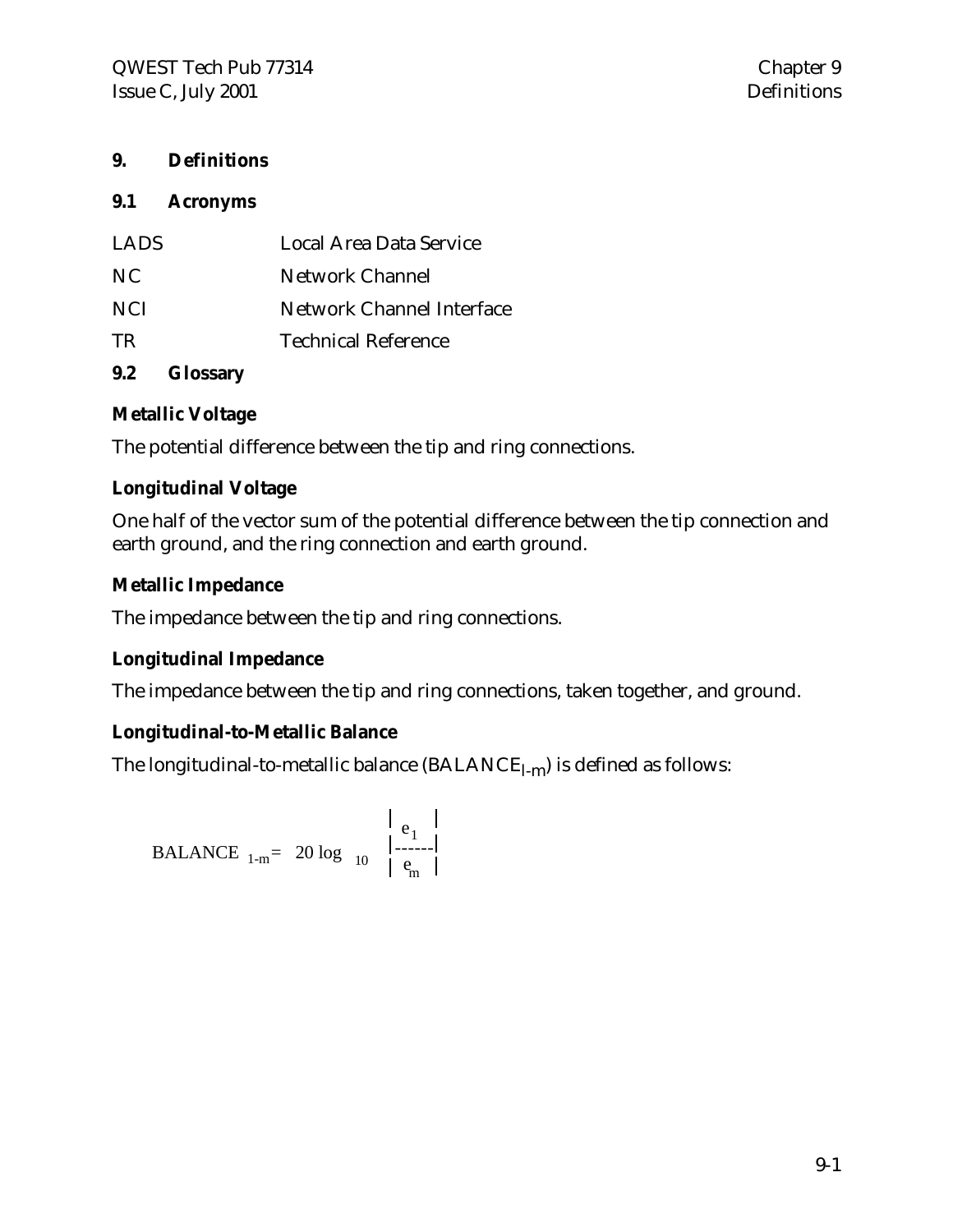# **9. Definitions**

#### **9.1 Acronyms**

| <b>LADS</b> | Local Area Data Service   |
|-------------|---------------------------|
| NC.         | <b>Network Channel</b>    |
| NCI.        | Network Channel Interface |
| TR.         | Technical Reference       |
|             |                           |

# **9.2 Glossary**

### **Metallic Voltage**

The potential difference between the tip and ring connections.

### **Longitudinal Voltage**

One half of the vector sum of the potential difference between the tip connection and earth ground, and the ring connection and earth ground.

# **Metallic Impedance**

The impedance between the tip and ring connections.

# **Longitudinal Impedance**

The impedance between the tip and ring connections, taken together, and ground.

# **Longitudinal-to-Metallic Balance**

The longitudinal-to-metallic balance  $(BALANCE_{1-m})$  is defined as follows:

$$
\begin{array}{c|c}\n & e_1 \\
\hline\nBALANCE_{1-m} = 20 \log_{10} \left| \begin{array}{c} e_1 \\
 \vdots \\
 e_m \end{array} \right|\n\end{array}
$$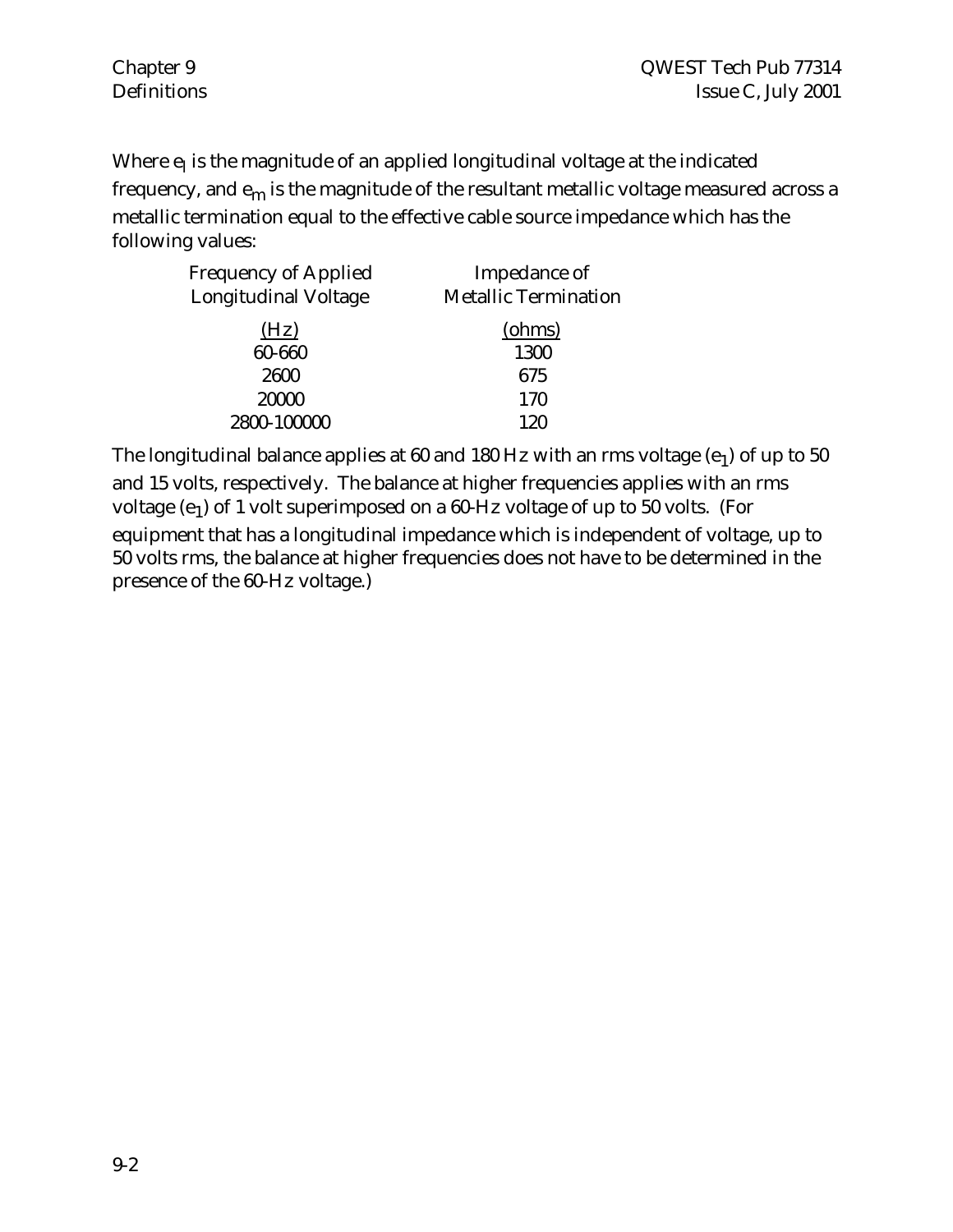Where  $\mathbf{e}_{\text{l}}$  is the magnitude of an applied longitudinal voltage at the indicated frequency, and  $e_m$  is the magnitude of the resultant metallic voltage measured across a metallic termination equal to the effective cable source impedance which has the following values:

| Impedance of                |
|-----------------------------|
| <b>Metallic Termination</b> |
| (ohms)                      |
| 1300                        |
| 675                         |
| 170                         |
| 120                         |
|                             |

The longitudinal balance applies at 60 and 180 Hz with an rms voltage (e<sub>1</sub>) of up to 50  $\,$ and 15 volts, respectively. The balance at higher frequencies applies with an rms voltage (e<sub>1</sub>) of 1 volt superimposed on a 60-Hz voltage of up to 50 volts. (For equipment that has a longitudinal impedance which is independent of voltage, up to 50 volts rms, the balance at higher frequencies does not have to be determined in the presence of the 60-Hz voltage.)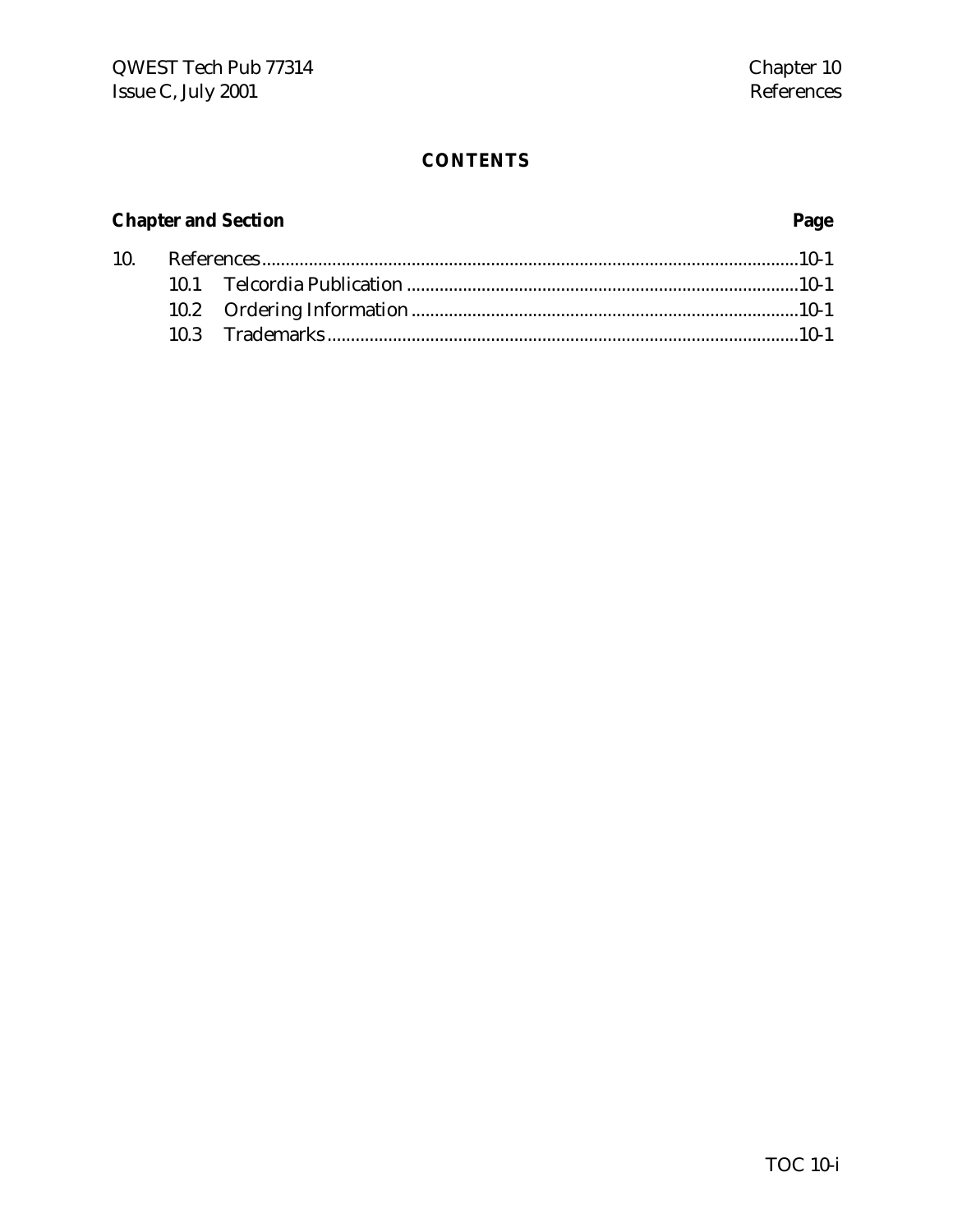# **Chapter and Section**

# Page